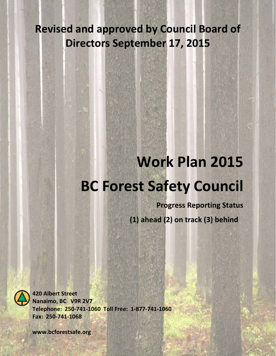# **Revised and approved by Council Board of Directors September 17, 2015**

# **Work Plan 2015 BC Forest Safety Council**

**Progress Reporting Status (1) ahead (2) on track (3) behind**



**420 Albert Street Nanaimo, BC V9R 2V7 Telephone: 250-741-1060 Toll Free: 1-877-741-1060 Fax: 250-741-1068**

**www.bcforestsafe.org**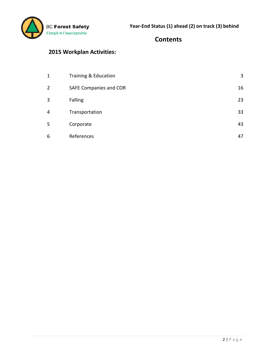

#### **Contents**

# **2015 Workplan Activities:**

| $\mathbf{1}$   | Training & Education   | 3  |
|----------------|------------------------|----|
| $\overline{2}$ | SAFE Companies and COR | 16 |
| 3              | Falling                | 23 |
| 4              | Transportation         | 33 |
| 5              | Corporate              | 43 |
| 6              | References             | 47 |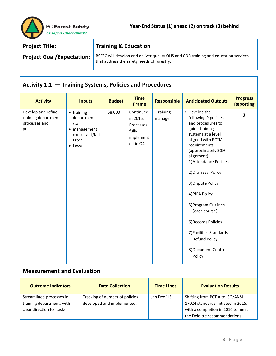

| <b>Project Title:</b>            | <b>Training &amp; Education</b>                                                                                                  |
|----------------------------------|----------------------------------------------------------------------------------------------------------------------------------|
| <b>Project Goal/Expectation:</b> | BCFSC will develop and deliver quality OHS and COR training and education services<br>that address the safety needs of forestry. |

# **Activity 1.1 — Training Systems, Policies and Procedures**

| <b>Activity</b>                                                         | <b>Inputs</b>                                                                                       | <b>Budget</b> | <b>Time</b><br><b>Frame</b>                                           | <b>Responsible</b>  | <b>Anticipated Outputs</b>                                                                                                                                                                                                                                                                                                                                                                                              | <b>Progress</b><br><b>Reporting</b> |
|-------------------------------------------------------------------------|-----------------------------------------------------------------------------------------------------|---------------|-----------------------------------------------------------------------|---------------------|-------------------------------------------------------------------------------------------------------------------------------------------------------------------------------------------------------------------------------------------------------------------------------------------------------------------------------------------------------------------------------------------------------------------------|-------------------------------------|
| Develop and refine<br>training department<br>processes and<br>policies. | $\bullet$ training<br>department<br>staff<br>• management<br>consultant/facili<br>tator<br>· lawyer | \$8,000       | Continued<br>in 2015.<br>Processes<br>fully<br>implement<br>ed in Q4. | Training<br>manager | • Develop the<br>following 9 policies<br>and procedures to<br>guide training<br>systems at a level<br>aligned with PCTIA<br>requirements<br>(approximately 90%<br>alignment)<br>1) Attendance Policies<br>2) Dismissal Policy<br>3) Dispute Policy<br>4) PIPA Policy<br>5) Program Outlines<br>(each course)<br>6) Records Policies<br>7) Facilities Standards<br><b>Refund Policy</b><br>8) Document Control<br>Policy | $\overline{2}$                      |

| <b>Outcome Indicators</b> | <b>Data Collection</b>         | <b>Time Lines</b> | <b>Evaluation Results</b>          |
|---------------------------|--------------------------------|-------------------|------------------------------------|
| Streamlined processes in  | Tracking of number of policies | Jan Dec '15       | Shifting from PCTIA to ISO/ANSI    |
| training department, with | developed and implemented.     |                   | 17024 standards initiated in 2015, |
| clear direction for tasks |                                |                   | with a completion in 2016 to meet  |
|                           |                                |                   | the Deloitte recommendations       |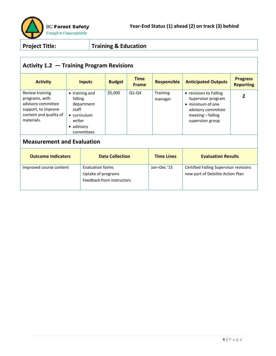

# **Activity 1.2 — Training Program Revisions**

| <b>Activity</b>                                                                                                        | <b>Inputs</b>                                                                                                        | <b>Budget</b> | <b>Time</b><br><b>Frame</b> | <b>Responsible</b>         | <b>Anticipated Outputs</b>                                                                                                      | <b>Progress</b><br><b>Reporting</b> |
|------------------------------------------------------------------------------------------------------------------------|----------------------------------------------------------------------------------------------------------------------|---------------|-----------------------------|----------------------------|---------------------------------------------------------------------------------------------------------------------------------|-------------------------------------|
| Review training<br>programs, with<br>advisory committee<br>support, to improve<br>content and quality of<br>materials. | $\bullet$ training and<br>falling<br>department<br>staff<br>$\bullet$ curriculum<br>writer<br>advisory<br>committees | \$5,000       | $Q1-Q4$                     | <b>Training</b><br>manager | • revisions to Falling<br>Supervisor program<br>• minimum of one<br>advisory committee<br>meeting - falling<br>supervisor group |                                     |

| <b>Outcome Indicators</b> | <b>Data Collection</b>                                              | <b>Time Lines</b> | <b>Evaluation Results</b>                                                  |
|---------------------------|---------------------------------------------------------------------|-------------------|----------------------------------------------------------------------------|
| Improved course content   | Evaluation forms<br>Uptake of programs<br>Feedback from instructors | Jan-Dec '15       | Certified Falling Supervisor revisions<br>now part of Deloitte Action Plan |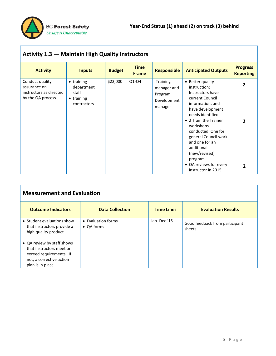

| <b>Activity 1.3 – Maintain High Quality Instructors</b>                          |                                                                        |               |                             |                                                              |                                                                                                                                                                                                                                                                                                                                     |                                                  |  |
|----------------------------------------------------------------------------------|------------------------------------------------------------------------|---------------|-----------------------------|--------------------------------------------------------------|-------------------------------------------------------------------------------------------------------------------------------------------------------------------------------------------------------------------------------------------------------------------------------------------------------------------------------------|--------------------------------------------------|--|
| <b>Activity</b>                                                                  | <b>Inputs</b>                                                          | <b>Budget</b> | <b>Time</b><br><b>Frame</b> | <b>Responsible</b>                                           | <b>Anticipated Outputs</b>                                                                                                                                                                                                                                                                                                          | <b>Progress</b><br><b>Reporting</b>              |  |
| Conduct quality<br>assurance on<br>instructors as directed<br>by the QA process. | • training<br>department<br>staff<br>$\bullet$ training<br>contractors | \$22,000      | $Q1-Q4$                     | Training<br>manager and<br>Program<br>Development<br>manager | • Better quality<br>instruction:<br>Instructors have<br>current Council<br>information, and<br>have development<br>needs identified<br>• 2 Train the Trainer<br>workshops<br>conducted. One for<br>general Council work<br>and one for an<br>additional<br>(new/revised)<br>program<br>• QA reviews for every<br>instructor in 2015 | $\overline{2}$<br>$\mathfrak z$<br>$\mathfrak z$ |  |

| <b>Measurement and Evaluation</b>                                                                                                 |                                  |                   |                                          |  |  |  |  |
|-----------------------------------------------------------------------------------------------------------------------------------|----------------------------------|-------------------|------------------------------------------|--|--|--|--|
| <b>Outcome Indicators</b>                                                                                                         | <b>Data Collection</b>           | <b>Time Lines</b> | <b>Evaluation Results</b>                |  |  |  |  |
| • Student evaluations show<br>that instructors provide a<br>high quality product                                                  | • Evaluation forms<br>• QA forms | Jan-Dec '15       | Good feedback from participant<br>sheets |  |  |  |  |
| • QA review by staff shows<br>that instructors meet or<br>exceed requirements. If<br>not, a corrective action<br>plan is in place |                                  |                   |                                          |  |  |  |  |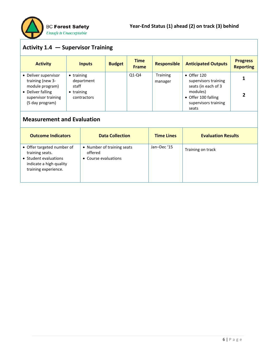

# **Activity 1.4 — Supervisor Training**

| <b>Activity</b>                                                                                                            | <b>Inputs</b>                                                                  | <b>Budget</b> | <b>Time</b><br><b>Frame</b> | <b>Responsible</b>  | <b>Anticipated Outputs</b>                                                                                                             | <b>Progress</b><br><b>Reporting</b> |
|----------------------------------------------------------------------------------------------------------------------------|--------------------------------------------------------------------------------|---------------|-----------------------------|---------------------|----------------------------------------------------------------------------------------------------------------------------------------|-------------------------------------|
| • Deliver supervisor<br>training (new 3-<br>module program)<br>• Deliver falling<br>supervisor training<br>(5 day program) | $\bullet$ training<br>department<br>staff<br>$\bullet$ training<br>contractors |               | $Q1-Q4$                     | Training<br>manager | $\bullet$ Offer 120<br>supervisors training<br>seats (in each of 3<br>modules)<br>• Offer 100 falling<br>supervisors training<br>seats | 2                                   |

| <b>Outcome Indicators</b>                                                                                                 | <b>Data Collection</b>                                        | <b>Time Lines</b> | <b>Evaluation Results</b> |
|---------------------------------------------------------------------------------------------------------------------------|---------------------------------------------------------------|-------------------|---------------------------|
| • Offer targeted number of<br>training seats.<br>• Student evaluations<br>indicate a high quality<br>training experience. | • Number of training seats<br>offered<br>• Course evaluations | Jan-Dec '15       | Training on track         |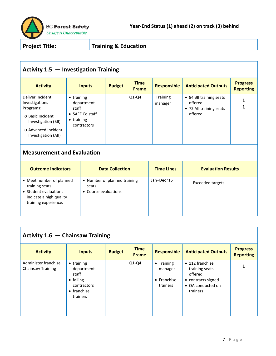

# **Activity 1.5 — Investigation Training**

| <b>Activity</b>                                                                                                                          | <b>Inputs</b>                                                                                             | <b>Budget</b> | <b>Time</b><br><b>Frame</b> | <b>Responsible</b>         | <b>Anticipated Outputs</b>                                               | <b>Progress</b><br><b>Reporting</b> |
|------------------------------------------------------------------------------------------------------------------------------------------|-----------------------------------------------------------------------------------------------------------|---------------|-----------------------------|----------------------------|--------------------------------------------------------------------------|-------------------------------------|
| Deliver Incident<br>Investigations<br>Programs:<br>o Basic Incident<br>Investigation (BII)<br>o Advanced Incident<br>Investigation (All) | $\bullet$ training<br>department<br>staff<br>$\bullet$ SAFE Co staff<br>$\bullet$ training<br>contractors |               | $Q1-Q4$                     | <b>Training</b><br>manager | • 84 BII training seats<br>offered<br>• 72 All training seats<br>offered |                                     |

# **Measurement and Evaluation**

| <b>Outcome Indicators</b>                                                                                               | <b>Data Collection</b>                                        | <b>Time Lines</b> | <b>Evaluation Results</b> |
|-------------------------------------------------------------------------------------------------------------------------|---------------------------------------------------------------|-------------------|---------------------------|
| • Meet number of planned<br>training seats.<br>• Student evaluations<br>indicate a high quality<br>training experience. | • Number of planned training<br>seats<br>• Course evaluations | Jan-Dec '15       | <b>Exceeded targets</b>   |

# **Activity 1.6 — Chainsaw Training**

| <b>Activity</b>                           | <b>Inputs</b>                                                                                            | <b>Budget</b> | <b>Time</b><br><b>Frame</b> | <b>Responsible</b>                                       | <b>Anticipated Outputs</b>                                                                          | <b>Progress</b><br><b>Reporting</b> |
|-------------------------------------------|----------------------------------------------------------------------------------------------------------|---------------|-----------------------------|----------------------------------------------------------|-----------------------------------------------------------------------------------------------------|-------------------------------------|
| Administer franchise<br>Chainsaw Training | $\bullet$ training<br>department<br>staff<br>• falling<br>contractors<br>$\bullet$ franchise<br>trainers |               | $Q1-Q4$                     | $\bullet$ Training<br>manager<br>• Franchise<br>trainers | • 112 franchise<br>training seats<br>offered<br>• contracts signed<br>• QA conducted on<br>trainers |                                     |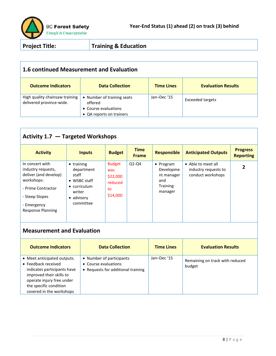

#### **1.6 continued Measurement and Evaluation**

| <b>Outcome Indicators</b>                                  | <b>Data Collection</b>                                                                    | <b>Time Lines</b> | <b>Evaluation Results</b> |
|------------------------------------------------------------|-------------------------------------------------------------------------------------------|-------------------|---------------------------|
| High quality chainsaw training<br>delivered province-wide. | • Number of training seats<br>offered<br>• Course evaluations<br>• QA reports on trainers | Jan-Dec '15       | <b>Exceeded targets</b>   |

# **Activity 1.7 — Targeted Workshops**

| <b>Activity</b>                                                                                                                                          | <b>Inputs</b>                                                                                                                     | <b>Budget</b>                                                 | <b>Time</b><br><b>Frame</b> | <b>Responsible</b>                                                        | <b>Anticipated Outputs</b>                                      | <b>Progress</b><br><b>Reporting</b> |
|----------------------------------------------------------------------------------------------------------------------------------------------------------|-----------------------------------------------------------------------------------------------------------------------------------|---------------------------------------------------------------|-----------------------------|---------------------------------------------------------------------------|-----------------------------------------------------------------|-------------------------------------|
| In concert with<br>industry requests,<br>deliver (and develop)<br>workshops:<br>- Prime Contractor<br>- Steep Slopes<br>- Emergency<br>Response Planning | $\bullet$ training<br>department<br>staff<br>$\bullet$ WSBC staff<br>$\bullet$ curriculum<br>writer<br>advisory<br>٠<br>committee | <b>Budget</b><br>was<br>\$22,000<br>reduced<br>to<br>\$14,000 | $Q1-Q4$                     | • Program<br>Developme<br>nt manager<br>and<br><b>Training</b><br>manager | • Able to meet all<br>industry requests to<br>conduct workshops | 2                                   |

| <b>Outcome Indicators</b>                                                                                                                                                                        | <b>Data Collection</b>                                                                 | <b>Time Lines</b> | <b>Evaluation Results</b>                 |
|--------------------------------------------------------------------------------------------------------------------------------------------------------------------------------------------------|----------------------------------------------------------------------------------------|-------------------|-------------------------------------------|
| • Meet anticipated outputs.<br>• Feedback received<br>indicates participants have<br>improved their skills to<br>operate injury free under<br>the specific condition<br>covered in the workshops | • Number of participants<br>• Course evaluations<br>• Requests for additional training | Jan-Dec '15       | Remaining on track with reduced<br>budget |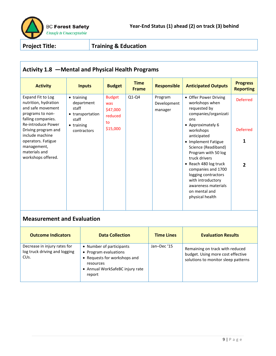

# **Activity 1.8 —Mental and Physical Health Programs**

| <b>Activity</b>                                                                                                                                                                                                                                      | <b>Inputs</b>                                                                                       | <b>Budget</b>                                                 | <b>Time</b><br><b>Frame</b> | <b>Responsible</b>                | <b>Anticipated Outputs</b>                                                                                                                                                                                                                                                                                                                                                          | <b>Progress</b><br><b>Reporting</b> |
|------------------------------------------------------------------------------------------------------------------------------------------------------------------------------------------------------------------------------------------------------|-----------------------------------------------------------------------------------------------------|---------------------------------------------------------------|-----------------------------|-----------------------------------|-------------------------------------------------------------------------------------------------------------------------------------------------------------------------------------------------------------------------------------------------------------------------------------------------------------------------------------------------------------------------------------|-------------------------------------|
| Expand Fit to Log<br>nutrition, hydration<br>and safe movement<br>programs to non-<br>falling companies.<br>Re-introduce Power<br>Driving program and<br>include machine<br>operators. Fatigue<br>management,<br>materials and<br>workshops offered. | $\bullet$ training<br>department<br>staff<br>• transportation<br>staff<br>• training<br>contractors | <b>Budget</b><br>was<br>\$47,000<br>reduced<br>to<br>\$15,000 | $Q1-Q4$                     | Program<br>Development<br>manager | • Offer Power Driving<br>workshops when<br>requested by<br>companies/organizati<br>ons<br>• Approximately 6<br>workshops<br>anticipated<br>• Implement Fatigue<br>Science (Readiband)<br>Program with 50 log<br>truck drivers<br>• Reach 480 log truck<br>companies and 1700<br>logging contractors<br>with introductory<br>awareness materials<br>on mental and<br>physical health | <b>Deferred</b><br><b>Deferred</b>  |

| <b>Outcome Indicators</b>                                                          | <b>Data Collection</b>                                                                                                                      | <b>Time Lines</b> | <b>Evaluation Results</b>                                                                                   |
|------------------------------------------------------------------------------------|---------------------------------------------------------------------------------------------------------------------------------------------|-------------------|-------------------------------------------------------------------------------------------------------------|
| Decrease in injury rates for<br>log truck driving and logging<br>CU <sub>s</sub> . | • Number of participants<br>• Program evaluations<br>• Requests for workshops and<br>resources<br>• Annual WorkSafeBC injury rate<br>report | Jan-Dec '15       | Remaining on track with reduced<br>budget. Using more cost effective<br>solutions to monitor sleep patterns |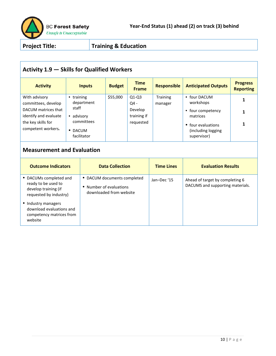

# **Activity 1.9 — Skills for Qualified Workers**

| <b>Activity</b>                                                                                                                  | <b>Inputs</b>                                                                            | <b>Budget</b> | <b>Time</b><br><b>Frame</b>                              | <b>Responsible</b>  | <b>Anticipated Outputs</b>                                                                                            | <b>Progress</b><br><b>Reporting</b> |
|----------------------------------------------------------------------------------------------------------------------------------|------------------------------------------------------------------------------------------|---------------|----------------------------------------------------------|---------------------|-----------------------------------------------------------------------------------------------------------------------|-------------------------------------|
| With advisory<br>committees, develop<br>DACUM matrices that<br>identify and evaluate<br>the key skills for<br>competent workers. | training<br>department<br>staff<br>advisory<br>٠<br>committees<br>• DACUM<br>facilitator | \$55,000      | $Q1-Q3$<br>$Q4 -$<br>Develop<br>training if<br>requested | Training<br>manager | • four DACUM<br>workshops<br>• four competency<br>matrices<br>• four evaluations<br>(including logging<br>supervisor) |                                     |

| <b>Outcome Indicators</b>                                                                       | <b>Data Collection</b>                                                            | <b>Time Lines</b> | <b>Evaluation Results</b>                                           |
|-------------------------------------------------------------------------------------------------|-----------------------------------------------------------------------------------|-------------------|---------------------------------------------------------------------|
| • DACUMs completed and<br>ready to be used to<br>develop training (if<br>requested by industry) | • DACUM documents completed<br>• Number of evaluations<br>downloaded from website | Jan-Dec '15       | Ahead of target by completing 6<br>DACUMS and supporting materials. |
| • Industry managers<br>download evaluations and<br>competency matrices from<br>website          |                                                                                   |                   |                                                                     |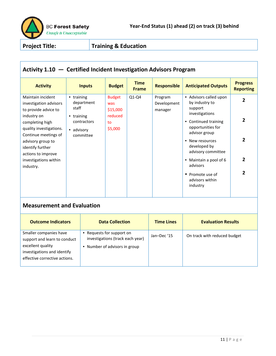

# **Activity 1.10 — Certified Incident Investigation Advisors Program**

| <b>Activity</b>         | <b>Inputs</b>      | <b>Budget</b> | <b>Time</b><br><b>Frame</b> | <b>Responsible</b> | <b>Anticipated Outputs</b> | <b>Progress</b><br><b>Reporting</b> |
|-------------------------|--------------------|---------------|-----------------------------|--------------------|----------------------------|-------------------------------------|
| Maintain incident       | $\bullet$ training | <b>Budget</b> | $Q1-Q4$                     | Program            | • Advisors called upon     | 2                                   |
| investigation advisors  | department         | was           |                             | Development        | by industry to             |                                     |
| to provide advice to    | staff              | \$15,000      |                             | manager            | support                    |                                     |
| industry on             | $\bullet$ training | reduced       |                             |                    | investigations             |                                     |
| completing high         | contractors        | to            |                             |                    | Continued training<br>٠    | 2                                   |
| quality investigations. | • advisory         | \$5,000       |                             |                    | opportunities for          |                                     |
| Continue meetings of    | committee          |               |                             |                    | advisor group              |                                     |
| advisory group to       |                    |               |                             |                    | • New resources            | 2                                   |
| identify further        |                    |               |                             |                    | developed by               |                                     |
| actions to improve      |                    |               |                             |                    | advisory committee         |                                     |
| investigations within   |                    |               |                             |                    | • Maintain a pool of 6     | $\overline{2}$                      |
| industry.               |                    |               |                             |                    | advisors                   |                                     |
|                         |                    |               |                             |                    | • Promote use of           | 2                                   |
|                         |                    |               |                             |                    | advisors within            |                                     |
|                         |                    |               |                             |                    | industry                   |                                     |
|                         |                    |               |                             |                    |                            |                                     |

| <b>Outcome Indicators</b>                                                                                                                   | <b>Data Collection</b>                                                                          | <b>Time Lines</b> | <b>Evaluation Results</b>    |
|---------------------------------------------------------------------------------------------------------------------------------------------|-------------------------------------------------------------------------------------------------|-------------------|------------------------------|
| Smaller companies have<br>support and learn to conduct<br>excellent quality<br>investigations and identify<br>effective corrective actions. | Requests for support on<br>investigations (track each year)<br>Number of advisors in group<br>٠ | Jan-Dec '15       | On track with reduced budget |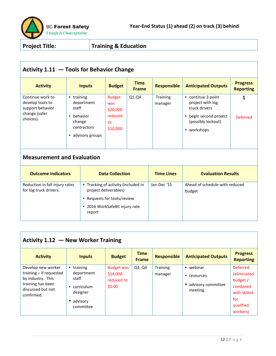

#### **Activity 1.11 — Tools for Behavior Change**

| <b>Activity</b>                                                                        | <b>Inputs</b>                                                                                            | <b>Budget</b>                                                 | <b>Time</b><br><b>Frame</b> | <b>Responsible</b>  | <b>Anticipated Outputs</b>                                                                                                           | <b>Progress</b><br><b>Reporting</b> |
|----------------------------------------------------------------------------------------|----------------------------------------------------------------------------------------------------------|---------------------------------------------------------------|-----------------------------|---------------------|--------------------------------------------------------------------------------------------------------------------------------------|-------------------------------------|
| Continue work to<br>develop tools to<br>support behavior<br>change (safer<br>choices). | • training<br>department<br>staff<br>behavior<br>$\bullet$<br>change<br>contractors<br>• advisory groups | <b>Budget</b><br>was<br>\$20,000<br>reduced<br>to<br>\$10,000 | $Q1-Q4$                     | Training<br>manager | • continue 3 point<br>project with log<br>truck drivers<br>begin second project<br>$\bullet$<br>(possibly lockout)<br>workshops<br>٠ | 1<br><b>Deferred</b>                |

#### **Measurement and Evaluation**

| <b>Outcome Indicators</b>                                | <b>Data Collection</b>                                                                                                                 | <b>Time Lines</b> | <b>Evaluation Results</b>                |
|----------------------------------------------------------|----------------------------------------------------------------------------------------------------------------------------------------|-------------------|------------------------------------------|
| Reduction in fall injury rates<br>for log truck drivers. | • Tracking of activity (included in<br>project deliverables)<br>• Requests for tools/review<br>• 2016 WorkSafeBC injury rate<br>report | Jan-Dec '15       | Ahead of schedule with reduced<br>budget |

#### **Activity 1.12 — New Worker Training**

| <b>Activity</b>                                                                                                            | <b>Inputs</b>                                                                                     | <b>Budget</b>                                         | <b>Time</b><br><b>Frame</b> | <b>Responsible</b>         | <b>Anticipated Outputs</b>                                     | <b>Progress</b><br><b>Reporting</b>                                                                    |
|----------------------------------------------------------------------------------------------------------------------------|---------------------------------------------------------------------------------------------------|-------------------------------------------------------|-----------------------------|----------------------------|----------------------------------------------------------------|--------------------------------------------------------------------------------------------------------|
| Develop new worker<br>training – if requested<br>by industry. This<br>training has been<br>discussed but not<br>confirmed. | $\bullet$ training<br>department<br>staff<br>curriculum<br>٠<br>designer<br>advisory<br>committee | <b>Budget was</b><br>\$14,000<br>reduced to<br>\$0.00 | Q3, Q4                      | <b>Training</b><br>manager | • webinar<br>resources<br>٠<br>• advisory committee<br>meeting | <b>Deferred</b><br>(eliminated<br>budget /<br>combined<br>with skilled<br>for<br>qualified<br>workers) |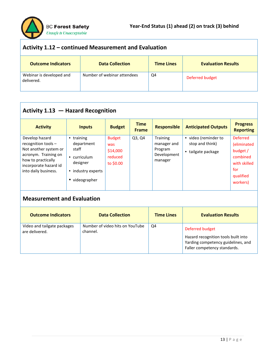

| Activity 1.12 – continued Measurement and Evaluation |                             |                   |                           |  |  |  |
|------------------------------------------------------|-----------------------------|-------------------|---------------------------|--|--|--|
| <b>Outcome Indicators</b>                            | <b>Data Collection</b>      | <b>Time Lines</b> | <b>Evaluation Results</b> |  |  |  |
| Webinar is developed and<br>delivered.               | Number of webinar attendees | Q4                | Deferred budget           |  |  |  |

# **Activity 1.13 — Hazard Recognition**

| <b>Activity</b>                                                                                                                                               | <b>Inputs</b>                                                                                                    | <b>Budget</b>                                            | <b>Time</b><br><b>Frame</b> | <b>Responsible</b>                                                  | <b>Anticipated Outputs</b>                                    | <b>Progress</b><br><b>Reporting</b>                                                                    |
|---------------------------------------------------------------------------------------------------------------------------------------------------------------|------------------------------------------------------------------------------------------------------------------|----------------------------------------------------------|-----------------------------|---------------------------------------------------------------------|---------------------------------------------------------------|--------------------------------------------------------------------------------------------------------|
| Develop hazard<br>recognition tools -<br>Not another system or<br>acronym. Training on<br>how to practically<br>incorporate hazard id<br>into daily business. | training<br>$\bullet$<br>department<br>staff<br>• curriculum<br>designer<br>• industry experts<br>• videographer | <b>Budget</b><br>was<br>\$14,000<br>reduced<br>to \$0.00 | Q3, Q4                      | <b>Training</b><br>manager and<br>Program<br>Development<br>manager | • video (reminder to<br>stop and think)<br>• tailgate package | <b>Deferred</b><br>(eliminated<br>budget /<br>combined<br>with skilled<br>for<br>qualified<br>workers) |

| <b>Outcome Indicators</b>                     | <b>Data Collection</b>                      | <b>Time Lines</b> | <b>Evaluation Results</b>                                                                                                    |
|-----------------------------------------------|---------------------------------------------|-------------------|------------------------------------------------------------------------------------------------------------------------------|
| Video and tailgate packages<br>are delivered. | Number of video hits on YouTube<br>channel. | Q4                | Deferred budget<br>Hazard recognition tools built into<br>Yarding competency guidelines, and<br>Faller competency standards. |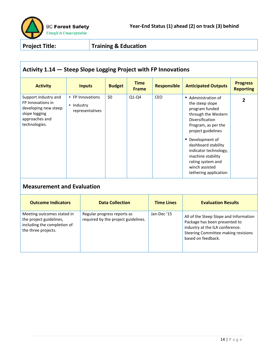

# **Activity 1.14 — Steep Slope Logging Project with FP Innovations**

| <b>Activity</b>                                                                                                       | <b>Inputs</b>                                     | <b>Budget</b> | <b>Time</b><br><b>Frame</b> | <b>Responsible</b> | <b>Anticipated Outputs</b>                                                                                                                                                                                                                                                                               | <b>Progress</b><br><b>Reporting</b> |  |  |
|-----------------------------------------------------------------------------------------------------------------------|---------------------------------------------------|---------------|-----------------------------|--------------------|----------------------------------------------------------------------------------------------------------------------------------------------------------------------------------------------------------------------------------------------------------------------------------------------------------|-------------------------------------|--|--|
| Support industry and<br>FP Innovations in<br>developing new steep<br>slope logging<br>approaches and<br>technologies. | • FP Innovations<br>• Industry<br>representatives | \$0           | $Q1-Q4$                     | <b>CEO</b>         | • Administration of<br>the steep slope<br>program funded<br>through the Western<br>Diversification<br>Program, as per the<br>project guidelines<br>• Development of<br>dashboard stability<br>indicator technology,<br>machine stability<br>rating system and<br>winch assisted<br>tethering application | $\mathbf{2}$                        |  |  |
| <b>Measurement and Evaluation</b>                                                                                     |                                                   |               |                             |                    |                                                                                                                                                                                                                                                                                                          |                                     |  |  |

| <b>Outcome Indicators</b>                                                                                   | <b>Data Collection</b>                                             | <b>Time Lines</b> | <b>Evaluation Results</b>                                                                                                                                               |
|-------------------------------------------------------------------------------------------------------------|--------------------------------------------------------------------|-------------------|-------------------------------------------------------------------------------------------------------------------------------------------------------------------------|
| Meeting outcomes stated in<br>the project guidelines,<br>including the completion of<br>the three projects. | Regular progress reports as<br>required by the project guidelines. | Jan-Dec '15       | All of the Steep Slope and Information<br>Package has been presented to<br>industry at the ILA conference.<br>Steering Committee making revisions<br>based on feedback. |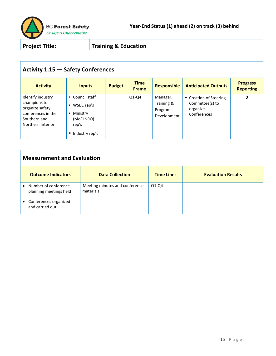

# **Activity 1.15 — Safety Conferences**

| <b>Activity</b>                                                                                                  | <b>Inputs</b>                                                                                                       | <b>Budget</b> | <b>Time</b><br><b>Frame</b> | <b>Responsible</b>                               | <b>Anticipated Outputs</b>                                           | <b>Progress</b><br><b>Reporting</b> |
|------------------------------------------------------------------------------------------------------------------|---------------------------------------------------------------------------------------------------------------------|---------------|-----------------------------|--------------------------------------------------|----------------------------------------------------------------------|-------------------------------------|
| Identify industry<br>champions to<br>organize safety<br>conferences in the<br>Southern and<br>Northern Interior. | Council staff<br>$\bullet$<br>WSBC rep's<br>$\bullet$<br>Ministry<br>٠<br>(MoFLNRO)<br>rep's<br>Industry rep's<br>٠ |               | $Q1-Q4$                     | Manager,<br>Training &<br>Program<br>Development | • Creation of Steering<br>Committee(s) to<br>organize<br>Conferences | $\mathbf{2}$                        |

| <b>Measurement and Evaluation</b>                           |                                             |                   |                           |  |  |  |  |
|-------------------------------------------------------------|---------------------------------------------|-------------------|---------------------------|--|--|--|--|
| <b>Outcome Indicators</b>                                   | <b>Data Collection</b>                      | <b>Time Lines</b> | <b>Evaluation Results</b> |  |  |  |  |
| Number of conference<br>$\bullet$<br>planning meetings held | Meeting minutes and conference<br>materials | $Q1-Q4$           |                           |  |  |  |  |
| Conferences organized<br>$\bullet$<br>and carried out       |                                             |                   |                           |  |  |  |  |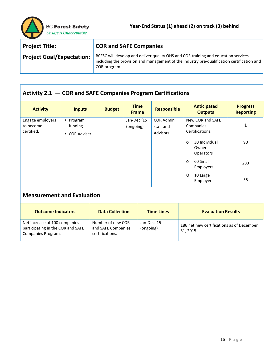| <b>Project Title:</b>            | <b>COR and SAFE Companies</b>                                                                                                                                                                    |
|----------------------------------|--------------------------------------------------------------------------------------------------------------------------------------------------------------------------------------------------|
| <b>Project Goal/Expectation:</b> | BCFSC will develop and deliver quality OHS and COR training and education services<br>including the provision and management of the industry pre-qualification certification and<br>COR program. |

# **Activity 2.1 — COR and SAFE Companies Program Certifications**

| <b>Activity</b>                             | <b>Inputs</b>                         | <b>Budget</b>          | <b>Time</b><br><b>Frame</b> | <b>Responsible</b>                  | <b>Anticipated</b><br><b>Outputs</b>             | <b>Progress</b><br><b>Reporting</b> |  |
|---------------------------------------------|---------------------------------------|------------------------|-----------------------------|-------------------------------------|--------------------------------------------------|-------------------------------------|--|
| Engage employers<br>to become<br>certified. | • Program<br>funding<br>• COR Adviser |                        | Jan-Dec '15<br>(ongoing)    | COR Admin.<br>staff and<br>Advisors | New COR and SAFE<br>Companies<br>Certifications: | 1                                   |  |
|                                             |                                       |                        |                             |                                     | 30 Individual<br>$\circ$<br>Owner<br>Operators   | 90                                  |  |
|                                             |                                       |                        |                             |                                     | 60 Small<br>$\circ$<br>Employers                 | 283                                 |  |
|                                             |                                       |                        |                             |                                     | 10 Large<br>$\circ$<br>Employers                 | 35                                  |  |
| <b>Measurement and Evaluation</b>           |                                       |                        |                             |                                     |                                                  |                                     |  |
| <b>Outcome Indicators</b>                   |                                       | <b>Data Collection</b> |                             | <b>Time Lines</b>                   | <b>Evaluation Results</b>                        |                                     |  |

| Net increase of 100 companies<br>participating in the COR and SAFE<br>Companies Program. | Number of new COR<br>and SAFE Companies<br>certifications. | Jan-Dec '15<br>(ongoing) | 186 net new certifications as of December<br>31, 2015. |
|------------------------------------------------------------------------------------------|------------------------------------------------------------|--------------------------|--------------------------------------------------------|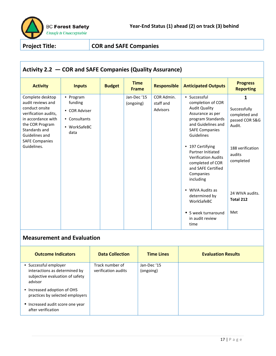

# **Activity 2.2 — COR and SAFE Companies (Quality Assurance)**

| <b>Activity</b>                                                                                                                                                                                     | <b>Inputs</b>                                                                  | <b>Budget</b> | <b>Time</b><br><b>Frame</b> | <b>Responsible</b>                  | <b>Anticipated Outputs</b>                                                                                                                                                                                                                                                                                                                                                                                      | <b>Progress</b><br><b>Reporting</b>                                                                                                              |
|-----------------------------------------------------------------------------------------------------------------------------------------------------------------------------------------------------|--------------------------------------------------------------------------------|---------------|-----------------------------|-------------------------------------|-----------------------------------------------------------------------------------------------------------------------------------------------------------------------------------------------------------------------------------------------------------------------------------------------------------------------------------------------------------------------------------------------------------------|--------------------------------------------------------------------------------------------------------------------------------------------------|
| Complete desktop<br>audit reviews and<br>conduct onsite<br>verification audits,<br>in accordance with<br>the COR Program<br>Standards and<br>Guidelines and<br><b>SAFE Companies</b><br>Guidelines. | • Program<br>funding<br>• COR Adviser<br>• Consultants<br>• WorkSafeBC<br>data |               | Jan-Dec'15<br>(ongoing)     | COR Admin.<br>staff and<br>Advisors | • Successful<br>completion of COR<br><b>Audit Quality</b><br>Assurance as per<br>program Standards<br>and Guidelines and<br><b>SAFE Companies</b><br>Guidelines<br>• 197 Certifying<br>Partner Initiated<br><b>Verification Audits</b><br>completed of COR<br>and SAFE Certified<br>Companies<br>including<br>• WIVA Audits as<br>determined by<br>WorkSafeBC<br>• 5 week turnaround<br>in audit review<br>time | 1<br>Successfully<br>completed and<br>passed COR S&G<br>Audit.<br>188 verification<br>audits<br>completed<br>24 WIVA audits.<br>Total 212<br>Met |

| <b>Outcome Indicators</b>                                                                            | <b>Data Collection</b>                 | <b>Time Lines</b>        | <b>Evaluation Results</b> |
|------------------------------------------------------------------------------------------------------|----------------------------------------|--------------------------|---------------------------|
| • Successful employer<br>interactions as determined by<br>subjective evaluation of safety<br>advisor | Track number of<br>verification audits | Jan-Dec '15<br>(ongoing) |                           |
| • Increased adoption of OHS<br>practices by selected employers                                       |                                        |                          |                           |
| • Increased audit score one year<br>after verification                                               |                                        |                          |                           |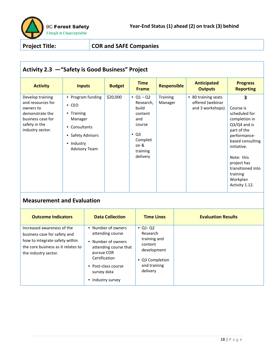

# **Activity 2.3 —"Safety is Good Business" Project**

| <b>Activity</b>                                                                                                                 | <b>Inputs</b>                                                                                                                           | <b>Budget</b> | <b>Time</b><br><b>Frame</b>                                                                                               | <b>Responsible</b>  | <b>Anticipated</b><br><b>Outputs</b>                        | <b>Progress</b><br><b>Reporting</b>                                                                                                                                                                                              |
|---------------------------------------------------------------------------------------------------------------------------------|-----------------------------------------------------------------------------------------------------------------------------------------|---------------|---------------------------------------------------------------------------------------------------------------------------|---------------------|-------------------------------------------------------------|----------------------------------------------------------------------------------------------------------------------------------------------------------------------------------------------------------------------------------|
| Develop training<br>and resources for<br>owners to<br>demonstrate the<br>business case for<br>safety in the<br>industry sector. | • Program funding<br>$\bullet$ CEO<br>• Training<br>Manager<br>• Consultants<br>• Safety Advisors<br>• Industry<br><b>Advisory Team</b> | \$20,000      | • $Q1 - Q2$<br>Research,<br>build<br>content<br>and<br>course<br>$\bullet$ Q3<br>Completi<br>on &<br>training<br>delivery | Training<br>Manager | • 80 training seats<br>offered (webinar<br>and 3 workshops) | 3<br>Course is<br>scheduled for<br>completion in<br>$Q3/Q4$ and is<br>part of the<br>performance-<br>based consulting<br>initiative.<br>Note: this<br>project has<br>transitioned into<br>training<br>Workplan<br>Activity 1.12. |

| <b>Outcome Indicators</b>                                                                                                                                  | <b>Data Collection</b>                                                                                                                                                          | <b>Time Lines</b>                                                                                                    | <b>Evaluation Results</b> |
|------------------------------------------------------------------------------------------------------------------------------------------------------------|---------------------------------------------------------------------------------------------------------------------------------------------------------------------------------|----------------------------------------------------------------------------------------------------------------------|---------------------------|
| Increased awareness of the<br>business case for safety and<br>how to integrate safety within<br>the core business as it relates to<br>the industry sector. | • Number of owners<br>attending course<br>• Number of owners<br>attending course that<br>pursue COR<br>Certification<br>• Post-class course<br>survey data<br>• Industry survey | $\bullet$ Q1-Q2<br>Research<br>training and<br>content<br>development<br>• Q3 Completion<br>and training<br>delivery |                           |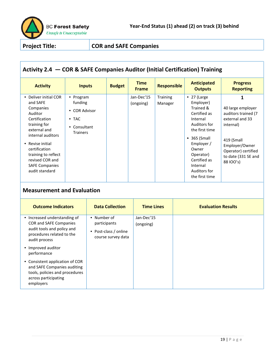

# **Activity 2.4 — COR & SAFE Companies Auditor (Initial Certification) Training**

| <b>Activity</b>                                                                                                                                                                                                                         | <b>Inputs</b>                                                                                           | <b>Budget</b> | <b>Time</b><br><b>Frame</b> | <b>Responsible</b>  | <b>Anticipated</b><br><b>Outputs</b>                                                                                                                                                                | <b>Progress</b><br><b>Reporting</b>                                                                                                                                 |
|-----------------------------------------------------------------------------------------------------------------------------------------------------------------------------------------------------------------------------------------|---------------------------------------------------------------------------------------------------------|---------------|-----------------------------|---------------------|-----------------------------------------------------------------------------------------------------------------------------------------------------------------------------------------------------|---------------------------------------------------------------------------------------------------------------------------------------------------------------------|
| • Deliver initial COR<br>and SAFE<br>Companies<br>Auditor<br>Certification<br>training for<br>external and<br>internal auditors<br>• Revise initial<br>certification<br>training to reflect<br>revised COR and<br><b>SAFE Companies</b> | Program<br>$\bullet$<br>funding<br><b>COR Advisor</b><br>$\bullet$ TAC<br>Consultant<br><b>Trainers</b> |               | Jan-Dec'15<br>(ongoing)     | Training<br>Manager | $\bullet$ 27 (Large<br>Employer)<br>Trained &<br>Certified as<br>Internal<br>Auditors for<br>the first time<br>$\bullet$ 365 (Small<br>Employer /<br>Owner<br>Operator)<br>Certified as<br>Internal | 40 large employer<br>auditors trained (7<br>external and 33<br>internal)<br>419 (Small<br>Employer/Owner<br>Operator) certified<br>to date (331 SE and<br>88 100's) |
| audit standard                                                                                                                                                                                                                          |                                                                                                         |               |                             |                     | Auditors for<br>the first time                                                                                                                                                                      |                                                                                                                                                                     |

| <b>Outcome Indicators</b>                                                                                                             | <b>Data Collection</b>                                                        | <b>Time Lines</b>       | <b>Evaluation Results</b> |
|---------------------------------------------------------------------------------------------------------------------------------------|-------------------------------------------------------------------------------|-------------------------|---------------------------|
| • Increased understanding of<br>COR and SAFE Companies<br>audit tools and policy and<br>procedures related to the<br>audit process    | • Number of<br>participants<br>Post-class / online<br>٠<br>course survey data | Jan-Dec'15<br>(ongoing) |                           |
| • Improved auditor<br>performance                                                                                                     |                                                                               |                         |                           |
| • Consistent application of COR<br>and SAFE Companies auditing<br>tools, policies and procedures<br>across participating<br>employers |                                                                               |                         |                           |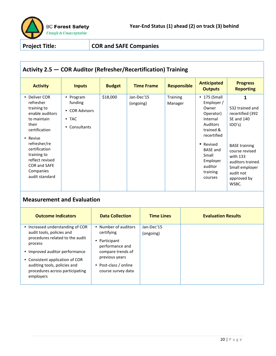

# **Activity 2.5 — COR Auditor (Refresher/Recertification) Training**

| <b>Activity</b>                                                                                                                   | <b>Inputs</b>                                                                         | <b>Budget</b> | <b>Time Frame</b>       | <b>Responsible</b>         | <b>Anticipated</b><br><b>Outputs</b>                                                                                             | <b>Progress</b><br><b>Reporting</b>                                                                    |
|-----------------------------------------------------------------------------------------------------------------------------------|---------------------------------------------------------------------------------------|---------------|-------------------------|----------------------------|----------------------------------------------------------------------------------------------------------------------------------|--------------------------------------------------------------------------------------------------------|
| • Deliver COR<br>refresher<br>training to<br>enable auditors<br>to maintain<br>their<br>certification<br>• Revise<br>refresher/re | • Program<br>funding<br><b>COR Advisors</b><br>٠<br>$\bullet$ TAC<br>Consultants<br>٠ | \$18,000      | Jan-Dec'15<br>(ongoing) | <b>Training</b><br>Manager | $\bullet$ 175 (Small<br>Employer /<br>Owner<br>Operator)<br>Internal<br><b>Auditors</b><br>trained &<br>recertified<br>• Revised | 532 trained and<br>recertified (392<br><b>SE and 140</b><br>IOO's)<br><b>BASE training</b>             |
| certification<br>training to<br>reflect revised<br><b>COR and SAFE</b><br>Companies<br>audit standard                             |                                                                                       |               |                         |                            | <b>BASE and</b><br>Small<br>Employer<br>auditor<br>training<br>courses                                                           | course revised<br>with 133<br>auditors trained.<br>Small employer<br>audit not<br>approved by<br>WSBC. |

| <b>Outcome Indicators</b>                                                                                                                                                                                                                                        | <b>Data Collection</b>                                                                                                                                       | <b>Time Lines</b>       | <b>Evaluation Results</b> |
|------------------------------------------------------------------------------------------------------------------------------------------------------------------------------------------------------------------------------------------------------------------|--------------------------------------------------------------------------------------------------------------------------------------------------------------|-------------------------|---------------------------|
| • Increased understanding of COR<br>audit tools, policies and<br>procedures related to the audit<br>process<br>• Improved auditor performance<br>• Consistent application of COR<br>auditing tools, policies and<br>procedures across participating<br>employers | • Number of auditors<br>certifying<br>• Participant<br>performance and<br>compare trends of<br>previous years<br>• Post-class / online<br>course survey data | Jan-Dec'15<br>(ongoing) |                           |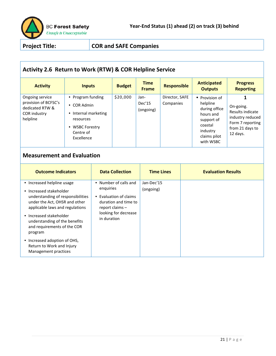

# **Activity 2.6 Return to Work (RTW) & COR Helpline Service**

| <b>Activity</b>                                                                        | <b>Inputs</b>                                                                                                       | <b>Budget</b> | <b>Time</b><br><b>Frame</b> | <b>Responsible</b>          | <b>Anticipated</b><br><b>Outputs</b>                                                                                       | <b>Progress</b><br><b>Reporting</b>                                                                  |
|----------------------------------------------------------------------------------------|---------------------------------------------------------------------------------------------------------------------|---------------|-----------------------------|-----------------------------|----------------------------------------------------------------------------------------------------------------------------|------------------------------------------------------------------------------------------------------|
| Ongoing service<br>provision of BCFSC's<br>dedicated RTW &<br>COR industry<br>helpline | • Program funding<br>• COR Admin<br>• Internal marketing<br>resources<br>• WSBC Forestry<br>Centre of<br>Excellence | \$20,000      | Jan-<br>Dec'15<br>(ongoing) | Director, SAFE<br>Companies | • Provision of<br>helpline<br>during office<br>hours and<br>support of<br>coastal<br>industry<br>claims pilot<br>with WSBC | On-going.<br>Results indicate<br>industry reduced<br>Form 7 reporting<br>from 21 days to<br>12 days. |

| <b>Outcome Indicators</b>                                                                                                                                                                                                                                            | <b>Data Collection</b>                                                                                                                           | <b>Time Lines</b>       | <b>Evaluation Results</b> |
|----------------------------------------------------------------------------------------------------------------------------------------------------------------------------------------------------------------------------------------------------------------------|--------------------------------------------------------------------------------------------------------------------------------------------------|-------------------------|---------------------------|
| • Increased helpline usage<br>• Increased stakeholder<br>understanding of responsibilities<br>under the Act, OHSR and other<br>applicable laws and regulations<br>• Increased stakeholder<br>understanding of the benefits<br>and requirements of the COR<br>program | • Number of calls and<br>enguiries<br>• Evaluation of claims<br>duration and time to<br>report claims $-$<br>looking for decrease<br>in duration | Jan-Dec'15<br>(ongoing) |                           |
| • Increased adoption of OHS,<br>Return to Work and Injury<br>Management practices                                                                                                                                                                                    |                                                                                                                                                  |                         |                           |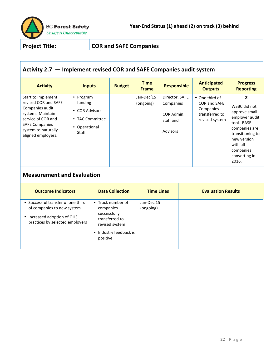

# **Activity 2.7 — Implement revised COR and SAFE Companies audit system**

| Jan-Dec'15<br>Start to implement<br>Director, SAFE<br>• Program<br>2<br>• One third of<br>revised COR and SAFE<br>funding<br><b>COR and SAFE</b><br>(ongoing)<br>Companies<br>Companies audit<br>Companies<br><b>COR Advisors</b><br>system. Maintain<br>COR Admin.<br>transferred to<br>service of COR and<br>TAC Committee<br>$\bullet$<br>revised system<br>staff and<br>tool. BASE<br><b>SAFE Companies</b><br>• Operational<br>system to naturally<br><b>Advisors</b><br>Staff<br>aligned employers.<br>new version | <b>Activity</b> | <b>Inputs</b> | <b>Budget</b> | <b>Time</b><br><b>Frame</b> | <b>Responsible</b> | <b>Anticipated</b><br><b>Outputs</b> | <b>Progress</b><br><b>Reporting</b>                                                              |
|--------------------------------------------------------------------------------------------------------------------------------------------------------------------------------------------------------------------------------------------------------------------------------------------------------------------------------------------------------------------------------------------------------------------------------------------------------------------------------------------------------------------------|-----------------|---------------|---------------|-----------------------------|--------------------|--------------------------------------|--------------------------------------------------------------------------------------------------|
| companies<br>converting in<br>2016.                                                                                                                                                                                                                                                                                                                                                                                                                                                                                      |                 |               |               |                             |                    |                                      | WSBC did not<br>approve small<br>employer audit<br>companies are<br>transitioning to<br>with all |

| <b>Outcome Indicators</b>                                                                                                          | <b>Data Collection</b>                                                                                                   | <b>Time Lines</b>       | <b>Evaluation Results</b> |
|------------------------------------------------------------------------------------------------------------------------------------|--------------------------------------------------------------------------------------------------------------------------|-------------------------|---------------------------|
| • Successful transfer of one third<br>of companies to new system<br>• Increased adoption of OHS<br>practices by selected employers | • Track number of<br>companies<br>successfully<br>transferred to<br>revised system<br>• Industry feedback is<br>positive | Jan-Dec'15<br>(ongoing) |                           |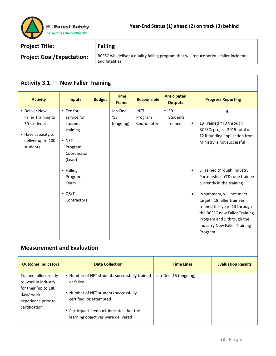

| <b>Project Title:</b>            | <b>Falling</b>                                                                                           |
|----------------------------------|----------------------------------------------------------------------------------------------------------|
| <b>Project Goal/Expectation:</b> | BCFSC will deliver a quality falling program that will reduce serious faller incidents<br>and fatalities |

# **Activity 3.1 — New Faller Training**

| <b>Activity</b>           | <b>Inputs</b>  | <b>Budget</b> | <b>Time</b><br><b>Frame</b> | <b>Responsible</b> | <b>Anticipated</b><br><b>Outputs</b> | <b>Progress Reporting</b>               |
|---------------------------|----------------|---------------|-----------------------------|--------------------|--------------------------------------|-----------------------------------------|
| • Deliver New             | • Fee for      |               | Jan-Dec                     | <b>NFT</b>         | • 50                                 | 3                                       |
| <b>Faller Training to</b> | service for    |               | 15                          | Program            | Students                             |                                         |
| 50 students               | student        |               | (ongoing)                   | Coordinator        | trained                              | 13 Trained YTD through<br>$\bullet$     |
|                           | training       |               |                             |                    |                                      | BCFSC; project 2015 total of            |
| • Have capacity to        |                |               |                             |                    |                                      | 12 if funding application from          |
| deliver up to 100         | $\bullet$ NFT  |               |                             |                    |                                      | Ministry is not successful              |
| students                  | Program        |               |                             |                    |                                      |                                         |
|                           | Coordinator    |               |                             |                    |                                      |                                         |
|                           | (Lead)         |               |                             |                    |                                      |                                         |
|                           | • Falling      |               |                             |                    |                                      | 5 Trained through Industry<br>$\bullet$ |
|                           | Program        |               |                             |                    |                                      | Partnerships YTD; one trainee           |
|                           | Team           |               |                             |                    |                                      | currently in the training               |
|                           |                |               |                             |                    |                                      |                                         |
|                           | $\bullet$ QS/T |               |                             |                    |                                      | In summary, will not meet<br>$\bullet$  |
|                           | Contractors    |               |                             |                    |                                      | target. 18 faller trainees              |
|                           |                |               |                             |                    |                                      | trained this year. 13 through           |
|                           |                |               |                             |                    |                                      | the BCFSC new Faller Training           |
|                           |                |               |                             |                    |                                      | Program and 5 through the               |
|                           |                |               |                             |                    |                                      | Industry New Faller Training            |
|                           |                |               |                             |                    |                                      | Program                                 |
|                           |                |               |                             |                    |                                      |                                         |

| <b>Outcome Indicators</b>                                                                                                   | <b>Data Collection</b>                                                                                                                                                                                            | <b>Time Lines</b>     | <b>Evaluation Results</b> |
|-----------------------------------------------------------------------------------------------------------------------------|-------------------------------------------------------------------------------------------------------------------------------------------------------------------------------------------------------------------|-----------------------|---------------------------|
| Trainee fallers ready<br>to work in industry<br>for their 'up to 180<br>days' work<br>experience prior to<br>certification. | • Number of NFT students successfully trained<br>or failed<br>• Number of NFT students successfully<br>certified, or attempted<br>• Participant feedback indicates that the<br>learning objectives were delivered | Jan-Dec '15 (ongoing) |                           |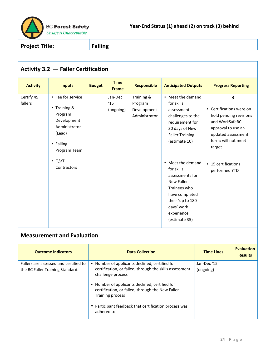

| <b>Activity 3.2 - Faller Certification</b>                     |                                                                                                             |                                              |                                                       |                                                                                                                                                                                                                                                                                                                           |                                                                                                                                                                                                |
|----------------------------------------------------------------|-------------------------------------------------------------------------------------------------------------|----------------------------------------------|-------------------------------------------------------|---------------------------------------------------------------------------------------------------------------------------------------------------------------------------------------------------------------------------------------------------------------------------------------------------------------------------|------------------------------------------------------------------------------------------------------------------------------------------------------------------------------------------------|
| <b>Activity</b>                                                | <b>Inputs</b>                                                                                               | <b>Time</b><br><b>Budget</b><br><b>Frame</b> | <b>Responsible</b>                                    | <b>Anticipated Outputs</b>                                                                                                                                                                                                                                                                                                | <b>Progress Reporting</b>                                                                                                                                                                      |
| Certify 45<br>fallers<br>(Lead)<br>• Falling<br>$\bullet$ QS/T | • Fee for service<br>• Training &<br>Program<br>Development<br>Administrator<br>Program Team<br>Contractors | Jan-Dec<br>15<br>(ongoing)                   | Training &<br>Program<br>Development<br>Administrator | • Meet the demand<br>for skills<br>assessment<br>challenges to the<br>requirement for<br>30 days of New<br><b>Faller Training</b><br>(estimate 10)<br>• Meet the demand<br>for skills<br>assessments for<br>New Faller<br>Trainees who<br>have completed<br>their 'up to 180<br>days' work<br>experience<br>(estimate 35) | 3<br>• Certifications were on<br>hold pending revisions<br>and WorkSafeBC<br>approval to use an<br>updated assessment<br>form; will not meet<br>target<br>• 15 certifications<br>performed YTD |

| <b>Outcome Indicators</b>                                                 | <b>Data Collection</b>                                                                                                                                                                                             | <b>Time Lines</b>        | <b>Evaluation</b><br><b>Results</b> |
|---------------------------------------------------------------------------|--------------------------------------------------------------------------------------------------------------------------------------------------------------------------------------------------------------------|--------------------------|-------------------------------------|
| Fallers are assessed and certified to<br>the BC Faller Training Standard. | • Number of applicants declined, certified for<br>certification, or failed, through the skills assessment                                                                                                          | Jan-Dec '15<br>(ongoing) |                                     |
|                                                                           | challenge process<br>• Number of applicants declined, certified for<br>certification, or failed, through the New Faller<br>Training process<br>• Participant feedback that certification process was<br>adhered to |                          |                                     |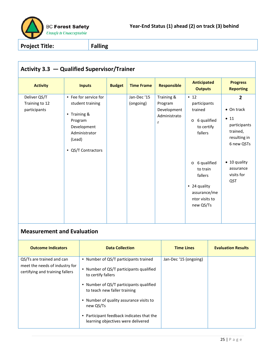

| Activity 3.3 - Qualified Supervisor/Trainer                                                                                                                       |                                        |                                                                                               |                                                                                                                                                                                                                     |                          |                                                           |                                                                                                                                                                                                            |                                                                                                                                                  |
|-------------------------------------------------------------------------------------------------------------------------------------------------------------------|----------------------------------------|-----------------------------------------------------------------------------------------------|---------------------------------------------------------------------------------------------------------------------------------------------------------------------------------------------------------------------|--------------------------|-----------------------------------------------------------|------------------------------------------------------------------------------------------------------------------------------------------------------------------------------------------------------------|--------------------------------------------------------------------------------------------------------------------------------------------------|
| <b>Activity</b>                                                                                                                                                   |                                        | <b>Inputs</b>                                                                                 | <b>Budget</b>                                                                                                                                                                                                       | <b>Time Frame</b>        | <b>Responsible</b>                                        | <b>Anticipated</b><br><b>Outputs</b>                                                                                                                                                                       | <b>Progress</b><br><b>Reporting</b>                                                                                                              |
| Deliver QS/T<br>Training to 12<br>participants<br><b>Measurement and Evaluation</b>                                                                               | • Training &<br>Program<br>(Lead)<br>٠ | • Fee for service for<br>student training<br>Development<br>Administrator<br>QS/T Contractors |                                                                                                                                                                                                                     | Jan-Dec '15<br>(ongoing) | Training &<br>Program<br>Development<br>Administrato<br>r | $\bullet$ 12<br>participants<br>trained<br>6 qualified<br>$\circ$<br>to certify<br>fallers<br>6 qualified<br>$\circ$<br>to train<br>fallers<br>• 24 quality<br>assurance/me<br>ntor visits to<br>new QS/Ts | $\overline{2}$<br>• On track<br>• 11<br>participants<br>trained,<br>resulting in<br>6 new QSTs<br>• 10 quality<br>assurance<br>visits for<br>QST |
| <b>Outcome Indicators</b>                                                                                                                                         |                                        |                                                                                               | <b>Data Collection</b>                                                                                                                                                                                              |                          | <b>Time Lines</b>                                         |                                                                                                                                                                                                            | <b>Evaluation Results</b>                                                                                                                        |
| QS/Ts are trained and can<br>meet the needs of industry for<br>certifying and training fallers<br>to certify fallers<br>to teach new faller training<br>new QS/Ts |                                        |                                                                                               | • Number of QS/T participants trained<br>• Number of QS/T participants qualified<br>• Number of QS/T participants qualified<br>• Number of quality assurance visits to<br>• Participant feedback indicates that the | Jan-Dec '15 (ongoing)    |                                                           |                                                                                                                                                                                                            |                                                                                                                                                  |

learning objectives were delivered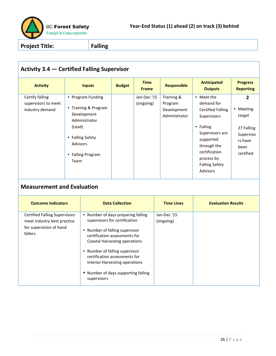

| <b>Activity 3.4 – Certified Falling Supervisor</b>                                                        |                            |                                                                                                                                                                                                                                                                                                                                           |                        |                             |                                                       |                                                                                                                                                                                                            |                                                                                                  |
|-----------------------------------------------------------------------------------------------------------|----------------------------|-------------------------------------------------------------------------------------------------------------------------------------------------------------------------------------------------------------------------------------------------------------------------------------------------------------------------------------------|------------------------|-----------------------------|-------------------------------------------------------|------------------------------------------------------------------------------------------------------------------------------------------------------------------------------------------------------------|--------------------------------------------------------------------------------------------------|
| <b>Activity</b>                                                                                           |                            | <b>Inputs</b>                                                                                                                                                                                                                                                                                                                             | <b>Budget</b>          | <b>Time</b><br><b>Frame</b> | <b>Responsible</b>                                    | <b>Anticipated</b><br><b>Outputs</b>                                                                                                                                                                       | <b>Progress</b><br><b>Reporting</b>                                                              |
| Certify falling<br>supervisors to meet<br>industry demand                                                 | (Lead)<br>Advisors<br>Team | • Program Funding<br>• Training & Program<br>Development<br>Administrator<br>• Falling Safety<br>• Falling Program                                                                                                                                                                                                                        |                        | Jan-Dec '15<br>(ongoing)    | Training &<br>Program<br>Development<br>Administrator | • Meet the<br>demand for<br><b>Certified Falling</b><br>Supervisors<br>• Falling<br>Supervisors are<br>supported<br>through the<br>certification<br>process by<br><b>Falling Safety</b><br><b>Advisors</b> | $\overline{2}$<br>• Meeting<br>target<br>27 Falling<br>Superviso<br>rs have<br>been<br>certified |
| <b>Measurement and Evaluation</b>                                                                         |                            |                                                                                                                                                                                                                                                                                                                                           |                        |                             |                                                       |                                                                                                                                                                                                            |                                                                                                  |
| <b>Outcome Indicators</b>                                                                                 |                            |                                                                                                                                                                                                                                                                                                                                           | <b>Data Collection</b> |                             | <b>Time Lines</b>                                     | <b>Evaluation Results</b>                                                                                                                                                                                  |                                                                                                  |
| <b>Certified Falling Supervisors</b><br>meet industry best practice<br>for supervision of hand<br>fallers |                            | • Number of days preparing falling<br>supervisors for certification<br>• Number of falling supervisor<br>certification assessments for<br><b>Coastal Harvesting operations</b><br>• Number of falling supervisor<br>certification assessments for<br>Interior Harvesting operations<br>• Number of days supporting falling<br>supervisors |                        |                             | Jan-Dec'15<br>(ongoing)                               |                                                                                                                                                                                                            |                                                                                                  |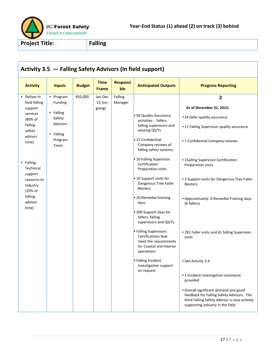

|                                                                                                                                                                                                                    |                                                                                                |               |                                 |                        | Activity 3.5 - Falling Safety Advisors (In field support)                                                                                                                                                                                                                                                                                                                                                                                                                                                                                                                                      |                                                                                                                                                                                                                                                                                                                                                                                                                                                                                                                                                                                                                                                                        |
|--------------------------------------------------------------------------------------------------------------------------------------------------------------------------------------------------------------------|------------------------------------------------------------------------------------------------|---------------|---------------------------------|------------------------|------------------------------------------------------------------------------------------------------------------------------------------------------------------------------------------------------------------------------------------------------------------------------------------------------------------------------------------------------------------------------------------------------------------------------------------------------------------------------------------------------------------------------------------------------------------------------------------------|------------------------------------------------------------------------------------------------------------------------------------------------------------------------------------------------------------------------------------------------------------------------------------------------------------------------------------------------------------------------------------------------------------------------------------------------------------------------------------------------------------------------------------------------------------------------------------------------------------------------------------------------------------------------|
| <b>Activity</b>                                                                                                                                                                                                    | <b>Inputs</b>                                                                                  | <b>Budget</b> | <b>Time</b><br>Frame            | <b>Responsi</b><br>ble | <b>Anticipated Outputs</b>                                                                                                                                                                                                                                                                                                                                                                                                                                                                                                                                                                     | <b>Progress Reporting</b>                                                                                                                                                                                                                                                                                                                                                                                                                                                                                                                                                                                                                                              |
| • Deliver In<br>field falling<br>support<br>services<br>(80% of<br>falling<br>safety<br>advisor<br>time)<br>• Falling<br>Technical<br>support<br>resource to<br>Industry<br>(20% of<br>falling<br>advisor<br>time) | • Program<br>Funding<br>• Falling<br>Safety<br><b>Advisors</b><br>• Falling<br>Program<br>Team | 450,000       | Jan-Dec<br>$'15$ (on-<br>going) | Falling<br>Manager     | 50 Quality Assurance<br>activities - fallers,<br>falling supervisors and<br>existing QS/Ts<br>15 Confidential<br>Company reviews of<br>falling safety systems<br>10 Falling Supervisor<br>Certification<br>Preparation visits<br>· 10 Support visits for<br>Dangerous Tree Faller<br><b>Blasters</b><br>20 Remedial training<br>days<br>300 Support days for<br>fallers, falling<br>supervisors and QS/Ts<br><b>Falling Supervisors</b><br>Certifications that<br>meet the requirements<br>for Coastal and Interior<br>operations<br>● Falling Incident<br>Investigation support<br>on request | $\overline{2}$<br>As of December 31, 2015:<br>•24 faller quality assurance<br>•11 Falling Supervisor quality assurance<br>• 7 Confidential Company reviews<br>• 15 alling Supervisor Certification<br>Preparation visits<br>• 3 Support visits for Dangerous Tree Faller<br><b>Blasters</b><br>• Approximately 8 Remedial Training days<br>(6 fallers)<br>• 292 Faller visits and 61 falling Supervisor<br>visits<br>• See Activity 3.4<br>• 1 Incident Investigation assistance<br>provided<br>. Overall significant demand and good<br>feedback for Falling Safety Advisors. The<br>third Falling Safety Advisor is now actively<br>supporting industry in the field |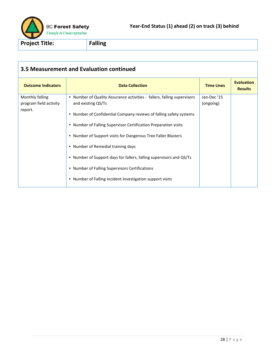

| 3.5 Measurement and Evaluation continued             |                                                                                                                                                                                                                                                                                                                                                                                                                                                                        |                          |                                     |  |  |  |  |  |  |
|------------------------------------------------------|------------------------------------------------------------------------------------------------------------------------------------------------------------------------------------------------------------------------------------------------------------------------------------------------------------------------------------------------------------------------------------------------------------------------------------------------------------------------|--------------------------|-------------------------------------|--|--|--|--|--|--|
| <b>Outcome Indicators</b>                            | <b>Data Collection</b>                                                                                                                                                                                                                                                                                                                                                                                                                                                 | <b>Time Lines</b>        | <b>Evaluation</b><br><b>Results</b> |  |  |  |  |  |  |
| Monthly falling<br>program field activity<br>report. | • Number of Quality Assurance activities - fallers, falling supervisors<br>and existing QS/Ts<br>• Number of Confidential Company reviews of falling safety systems<br>• Number of Falling Supervisor Certification Preparation visits<br>• Number of Support visits for Dangerous Tree Faller Blasters<br>• Number of Remedial training days<br>• Number of Support days for fallers, falling supervisors and QS/Ts<br>• Number of Falling Supervisors Certifications | Jan-Dec '15<br>(ongoing) |                                     |  |  |  |  |  |  |
|                                                      | • Number of Falling Incident Investigation support visits                                                                                                                                                                                                                                                                                                                                                                                                              |                          |                                     |  |  |  |  |  |  |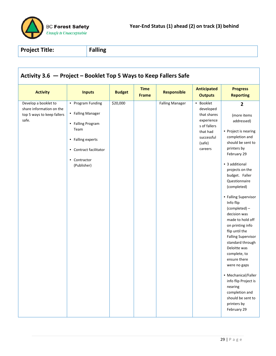

| <b>Activity</b>                                                                         | <b>Inputs</b>                                                                                                                                     | <b>Budget</b> | <b>Time</b><br><b>Frame</b> | <b>Responsible</b>     | <b>Anticipated</b><br><b>Outputs</b>                                                                               | <b>Progress</b><br><b>Reporting</b>                                                                                                                                                                                                                                                                                                                                                                                                                                                                                                                                                                             |
|-----------------------------------------------------------------------------------------|---------------------------------------------------------------------------------------------------------------------------------------------------|---------------|-----------------------------|------------------------|--------------------------------------------------------------------------------------------------------------------|-----------------------------------------------------------------------------------------------------------------------------------------------------------------------------------------------------------------------------------------------------------------------------------------------------------------------------------------------------------------------------------------------------------------------------------------------------------------------------------------------------------------------------------------------------------------------------------------------------------------|
| Develop a booklet to<br>share information on the<br>top 5 ways to keep fallers<br>safe. | • Program Funding<br>• Falling Manager<br>• Falling Program<br>Team<br>• Falling experts<br>• Contract facilitator<br>• Contractor<br>(Publisher) | \$20,000      |                             | <b>Falling Manager</b> | • Booklet<br>developed<br>that shares<br>experience<br>s of fallers<br>that had<br>successful<br>(safe)<br>careers | $\overline{2}$<br>(more items<br>addressed)<br>• Project is nearing<br>completion and<br>should be sent to<br>printers by<br>February 29<br>• 3 additional<br>projects on the<br>budget. Faller<br>Questionnaire<br>(completed)<br>• Falling Supervisor<br>Info flip<br>(completed) -<br>decision was<br>made to hold off<br>on printing info<br>flip until the<br><b>Falling Supervisor</b><br>standard through<br>Deloitte was<br>complete, to<br>ensure there<br>were no gaps<br>• Mechanical/Faller<br>info flip Project is<br>nearing<br>completion and<br>should be sent to<br>printers by<br>February 29 |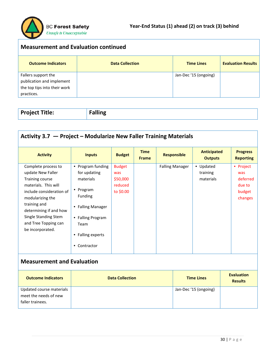

faller trainees.

| <b>Measurement and Evaluation continued</b>                                                    |                        |                       |                           |  |  |  |  |  |
|------------------------------------------------------------------------------------------------|------------------------|-----------------------|---------------------------|--|--|--|--|--|
| <b>Outcome Indicators</b>                                                                      | <b>Data Collection</b> | <b>Time Lines</b>     | <b>Evaluation Results</b> |  |  |  |  |  |
| Fallers support the<br>publication and implement<br>the top tips into their work<br>practices. |                        | Jan-Dec '15 (ongoing) |                           |  |  |  |  |  |

| <b>Project Title:</b> | .<br>------ |
|-----------------------|-------------|
|                       |             |

| Activity 3.7 - Project - Modularize New Faller Training Materials                                                                                                                                                                                 |                                                                                                                                                                      |                                                          |                             |  |                        |                                      |                                     |                                                             |  |  |
|---------------------------------------------------------------------------------------------------------------------------------------------------------------------------------------------------------------------------------------------------|----------------------------------------------------------------------------------------------------------------------------------------------------------------------|----------------------------------------------------------|-----------------------------|--|------------------------|--------------------------------------|-------------------------------------|-------------------------------------------------------------|--|--|
| <b>Activity</b>                                                                                                                                                                                                                                   | <b>Inputs</b>                                                                                                                                                        | <b>Budget</b>                                            | <b>Time</b><br><b>Frame</b> |  | <b>Responsible</b>     | <b>Anticipated</b><br><b>Outputs</b> |                                     | <b>Progress</b><br><b>Reporting</b>                         |  |  |
| Complete process to<br>update New Faller<br>Training course<br>materials. This will<br>include consideration of<br>modularizing the<br>training and<br>determining if and how<br>Single Standing Stem<br>and Tree Topping can<br>be incorporated. | • Program funding<br>for updating<br>materials<br>• Program<br><b>Funding</b><br>• Falling Manager<br>• Falling Program<br>Team<br>• Falling experts<br>• Contractor | <b>Budget</b><br>was<br>\$50,000<br>reduced<br>to \$0.00 |                             |  | <b>Falling Manager</b> | • Updated<br>training<br>materials   |                                     | • Project<br>was<br>deferred<br>due to<br>budget<br>changes |  |  |
| <b>Measurement and Evaluation</b>                                                                                                                                                                                                                 |                                                                                                                                                                      |                                                          |                             |  |                        |                                      |                                     |                                                             |  |  |
| <b>Outcome Indicators</b>                                                                                                                                                                                                                         | <b>Data Collection</b>                                                                                                                                               |                                                          |                             |  | <b>Time Lines</b>      |                                      | <b>Evaluation</b><br><b>Results</b> |                                                             |  |  |
| Updated course materials<br>meet the needs of new                                                                                                                                                                                                 |                                                                                                                                                                      |                                                          |                             |  |                        | Jan-Dec '15 (ongoing)                |                                     |                                                             |  |  |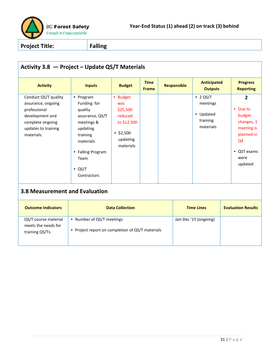

| Activity 3.8 - Project - Update QS/T Materials                                                                                         |                                                                                                                                                                         |                                                                                                   |                             |  |                    |                                                                  |                           |                                                                                                                        |
|----------------------------------------------------------------------------------------------------------------------------------------|-------------------------------------------------------------------------------------------------------------------------------------------------------------------------|---------------------------------------------------------------------------------------------------|-----------------------------|--|--------------------|------------------------------------------------------------------|---------------------------|------------------------------------------------------------------------------------------------------------------------|
| <b>Activity</b>                                                                                                                        | <b>Inputs</b>                                                                                                                                                           | <b>Budget</b>                                                                                     | <b>Time</b><br><b>Frame</b> |  | <b>Responsible</b> | <b>Anticipated</b><br><b>Outputs</b>                             |                           | <b>Progress</b><br><b>Reporting</b>                                                                                    |
| Conduct QS/T quality<br>assurance, ongoing<br>professional<br>development and<br>complete ongoing<br>updates to training<br>materials. | • Program<br>Funding for<br>quality<br>assurance, QS/T<br>meetings &<br>updating<br>training<br>materials<br>• Falling Program<br>Team<br>$\bullet$ QS/T<br>Contractors | • Budget<br>was<br>\$25,500<br>reduced<br>to \$12,500<br>$\cdot$ \$2,500<br>updating<br>materials |                             |  |                    | $\cdot$ 2 QS/T<br>meetings<br>• Updated<br>training<br>materials |                           | $\overline{2}$<br>• Due to<br>budget<br>changes, 1<br>meeting is<br>planned in<br>Q4<br>• QST exams<br>were<br>updated |
| <b>3.8 Measurement and Evaluation</b>                                                                                                  |                                                                                                                                                                         |                                                                                                   |                             |  |                    |                                                                  |                           |                                                                                                                        |
| <b>Outcome Indicators</b>                                                                                                              | <b>Data Collection</b>                                                                                                                                                  |                                                                                                   |                             |  | <b>Time Lines</b>  |                                                                  | <b>Evaluation Results</b> |                                                                                                                        |
| QS/T course material<br>meets the needs for<br>training QS/Ts.                                                                         | • Number of QS/T meetings<br>• Project report on completion of QS/T materials                                                                                           |                                                                                                   |                             |  |                    | Jan-Dec '15 (ongoing)                                            |                           |                                                                                                                        |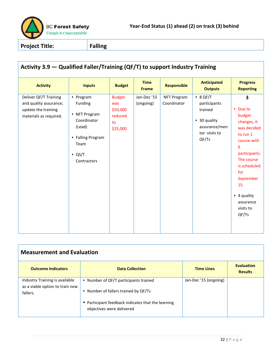

| Activity 3.9 - Qualified Faller/Training (QF/T) to support Industry Training                     |                                                                                                                              |                                                               |                             |                                   |                                                                                                        |                                                                                                                                                                                                                   |  |  |
|--------------------------------------------------------------------------------------------------|------------------------------------------------------------------------------------------------------------------------------|---------------------------------------------------------------|-----------------------------|-----------------------------------|--------------------------------------------------------------------------------------------------------|-------------------------------------------------------------------------------------------------------------------------------------------------------------------------------------------------------------------|--|--|
| <b>Activity</b>                                                                                  | <b>Inputs</b>                                                                                                                | <b>Budget</b>                                                 | <b>Time</b><br><b>Frame</b> | <b>Responsible</b>                | <b>Anticipated</b><br><b>Outputs</b>                                                                   | <b>Progress</b><br><b>Reporting</b>                                                                                                                                                                               |  |  |
| Deliver QF/T Training<br>and quality assurance;<br>update the training<br>materials as required. | • Program<br>Funding<br>• NFT Program<br>Coordinator<br>(Lead)<br>• Falling Program<br>Team<br>$\bullet$ QS/T<br>Contractors | <b>Budget</b><br>was<br>\$50,000<br>reduced<br>to<br>\$25,000 | Jan-Dec'15<br>(ongoing)     | <b>NFT Program</b><br>Coordinator | $\bullet$ 8 QF/T<br>participants<br>trained<br>• 30 quality<br>assurance/men<br>tor visits to<br>QF/Ts | 3<br>• Due to<br>budget<br>changes, it<br>was decided<br>to run 1<br>course with<br>6<br>participants.<br>The course<br>is scheduled<br>for<br>September<br>15.<br>• 4 quality<br>assurance<br>visits to<br>QF/Ts |  |  |

| <b>Measurement and Evaluation</b>                                             |                                                                                                                                     |                       |                                     |  |  |  |  |  |
|-------------------------------------------------------------------------------|-------------------------------------------------------------------------------------------------------------------------------------|-----------------------|-------------------------------------|--|--|--|--|--|
| <b>Outcome Indicators</b>                                                     | <b>Data Collection</b>                                                                                                              | <b>Time Lines</b>     | <b>Evaluation</b><br><b>Results</b> |  |  |  |  |  |
| Industry Training is available<br>as a viable option to train new<br>fallers. | • Number of QF/T participants trained<br>• Number of fallers trained by QF/Ts<br>• Participant feedback indicates that the learning | Jan-Dec '15 (ongoing) |                                     |  |  |  |  |  |
|                                                                               | objectives were delivered                                                                                                           |                       |                                     |  |  |  |  |  |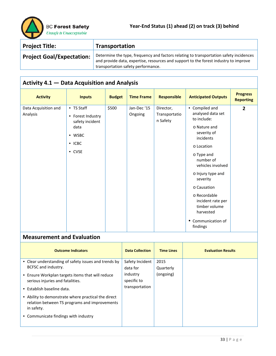

| <b>Project Title:</b>            | <b>Transportation</b>                                                                                                                                                                                                |
|----------------------------------|----------------------------------------------------------------------------------------------------------------------------------------------------------------------------------------------------------------------|
| <b>Project Goal/Expectation:</b> | Determine the type, frequency and factors relating to transportation safety incidences<br>and provide data, expertise, resources and support to the forest industry to improve<br>transportation safety performance. |

# **Activity 4.1 — Data Acquisition and Analysis**

| <b>Activity</b>                  | <b>Inputs</b>                                                                                       | <b>Budget</b> | <b>Time Frame</b>      | <b>Responsible</b>                     | <b>Anticipated Outputs</b>                                                                                                                                                                                                                                                                                                   | <b>Progress</b><br><b>Reporting</b> |
|----------------------------------|-----------------------------------------------------------------------------------------------------|---------------|------------------------|----------------------------------------|------------------------------------------------------------------------------------------------------------------------------------------------------------------------------------------------------------------------------------------------------------------------------------------------------------------------------|-------------------------------------|
| Data Acquisition and<br>Analysis | • TS Staff<br>Forest Industry<br>$\bullet$<br>safety incident<br>data<br>• WSBC<br>• ICBC<br>• CVSE | \$500         | Jan-Dec '15<br>Ongoing | Director,<br>Transportatio<br>n Safety | • Compiled and<br>analysed data set<br>to include:<br>o Nature and<br>severity of<br>incidents<br>o Location<br>o Type and<br>number of<br>vehicles involved<br>o Injury type and<br>severity<br>o Causation<br>o Recordable<br>incident rate per<br>timber volume<br>harvested<br>Communication of<br>$\bullet$<br>findings | $\overline{2}$                      |

| <b>Outcome Indicators</b>                                   | <b>Data Collection</b> | <b>Time Lines</b> | <b>Evaluation Results</b> |
|-------------------------------------------------------------|------------------------|-------------------|---------------------------|
| • Clear understanding of safety issues and trends by        | Safety Incident        | 2015              |                           |
| BCFSC and industry.                                         | data for               | Quarterly         |                           |
| • Ensure Workplan targets items that will reduce            | industry               | (ongoing)         |                           |
| serious injuries and fatalities.                            | specific to            |                   |                           |
| • Establish baseline data.                                  | transportation         |                   |                           |
| • Ability to demonstrate where practical the direct         |                        |                   |                           |
| relation between TS programs and improvements<br>in safety. |                        |                   |                           |
| • Communicate findings with industry                        |                        |                   |                           |
|                                                             |                        |                   |                           |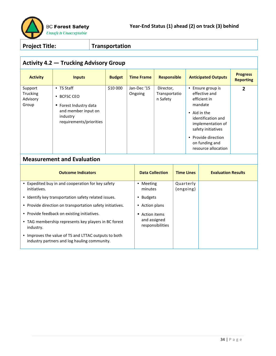

# **Activity 4.2 — Trucking Advisory Group**

| <b>Activity</b>                          | <b>Inputs</b>                                                                                                               | <b>Budget</b> | <b>Time Frame</b>      | <b>Responsible</b>                     | <b>Anticipated Outputs</b>                                                                                                                                                                                        | <b>Progress</b><br><b>Reporting</b> |
|------------------------------------------|-----------------------------------------------------------------------------------------------------------------------------|---------------|------------------------|----------------------------------------|-------------------------------------------------------------------------------------------------------------------------------------------------------------------------------------------------------------------|-------------------------------------|
| Support<br>Trucking<br>Advisory<br>Group | • TS Staff<br><b>BCFSC CEO</b><br>٠<br>• Forest Industry data<br>and member input on<br>industry<br>requirements/priorities | \$10 000      | Jan-Dec '15<br>Ongoing | Director,<br>Transportatio<br>n Safety | • Ensure group is<br>effective and<br>efficient in<br>mandate<br>• Aid in the<br>identification and<br>implementation of<br>safety initiatives<br>Provide direction<br>٠<br>on funding and<br>resource allocation | 2                                   |

| <b>Outcome Indicators</b>                                                                            | <b>Data Collection</b>           | <b>Time Lines</b>      | <b>Evaluation Results</b> |
|------------------------------------------------------------------------------------------------------|----------------------------------|------------------------|---------------------------|
| • Expedited buy in and cooperation for key safety<br>initiatives.                                    | Meeting<br>٠<br>minutes          | Quarterly<br>(ongoing) |                           |
| • Identify key transportation safety related issues.                                                 | <b>Budgets</b>                   |                        |                           |
| • Provide direction on transportation safety initiatives.                                            | Action plans<br>٠                |                        |                           |
| • Provide feedback on existing initiatives.                                                          | Action items                     |                        |                           |
| • TAG membership represents key players in BC forest<br>industry.                                    | and assigned<br>responsibilities |                        |                           |
| • Improves the value of TS and LTTAC outputs to both<br>industry partners and log hauling community. |                                  |                        |                           |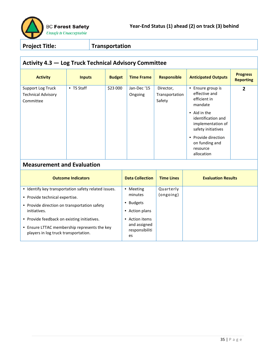

| <b>Activity 4.3 - Log Truck Technical Advisory Committee</b>                                                                        |                           |                             |                                                        |                                       |                                                                                                                                                                                                                   |                                     |  |  |
|-------------------------------------------------------------------------------------------------------------------------------------|---------------------------|-----------------------------|--------------------------------------------------------|---------------------------------------|-------------------------------------------------------------------------------------------------------------------------------------------------------------------------------------------------------------------|-------------------------------------|--|--|
| <b>Activity</b>                                                                                                                     | <b>Inputs</b>             | <b>Budget</b>               | <b>Time Frame</b>                                      | <b>Responsible</b>                    | <b>Anticipated Outputs</b>                                                                                                                                                                                        | <b>Progress</b><br><b>Reporting</b> |  |  |
| <b>Support Log Truck</b><br><b>Technical Advisory</b><br>Committee                                                                  | • TS Staff                | \$23 000                    | Jan-Dec'15<br>Ongoing                                  | Director,<br>Transportation<br>Safety | • Ensure group is<br>effective and<br>efficient in<br>mandate<br>• Aid in the<br>identification and<br>implementation of<br>safety initiatives<br>• Provide direction<br>on funding and<br>resource<br>allocation | $\overline{2}$                      |  |  |
| <b>Measurement and Evaluation</b>                                                                                                   |                           |                             |                                                        |                                       |                                                                                                                                                                                                                   |                                     |  |  |
|                                                                                                                                     | <b>Outcome Indicators</b> |                             | <b>Data Collection</b>                                 | <b>Time Lines</b>                     | <b>Evaluation Results</b>                                                                                                                                                                                         |                                     |  |  |
| • Identify key transportation safety related issues.<br>• Provide technical expertise.                                              |                           |                             | • Meeting<br>minutes                                   | Quarterly<br>(ongoing)                |                                                                                                                                                                                                                   |                                     |  |  |
| • Provide direction on transportation safety<br>initiatives.                                                                        |                           | • Budgets<br>• Action plans |                                                        |                                       |                                                                                                                                                                                                                   |                                     |  |  |
| • Provide feedback on existing initiatives.<br>• Ensure LTTAC membership represents the key<br>players in log truck transportation. |                           |                             | • Action items<br>and assigned<br>responsibiliti<br>es |                                       |                                                                                                                                                                                                                   |                                     |  |  |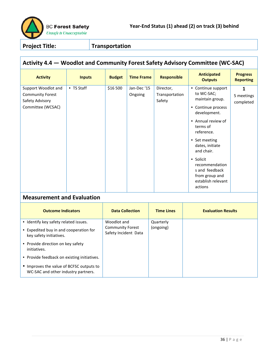

# **Activity 4.4 — Woodlot and Community Forest Safety Advisory Committee (WC-SAC)**

| <b>Activity</b>                   | <b>Inputs</b> | <b>Budget</b>          | <b>Time Frame</b> | <b>Responsible</b> | <b>Anticipated</b><br><b>Outputs</b>                                                             | <b>Progress</b><br><b>Reporting</b> |
|-----------------------------------|---------------|------------------------|-------------------|--------------------|--------------------------------------------------------------------------------------------------|-------------------------------------|
| Support Woodlot and               | • TS Staff    | \$16 500               | Jan-Dec '15       | Director,          | • Continue support                                                                               | 1                                   |
| <b>Community Forest</b>           |               |                        | Ongoing           | Transportation     | to WC-SAC;                                                                                       | 5 meetings                          |
| Safety Advisory                   |               |                        |                   | Safety             | maintain group.                                                                                  | completed                           |
| Committee (WCSAC)                 |               |                        |                   |                    | • Continue process<br>development.                                                               |                                     |
|                                   |               |                        |                   |                    | • Annual review of<br>terms of<br>reference.                                                     |                                     |
|                                   |               |                        |                   |                    | • Set meeting<br>dates, initiate<br>and chair.                                                   |                                     |
|                                   |               |                        |                   |                    | • Solicit<br>recommendation<br>s and feedback<br>from group and<br>establish relevant<br>actions |                                     |
| <b>Measurement and Evaluation</b> |               |                        |                   |                    |                                                                                                  |                                     |
| <b>Outcome Indicators</b>         |               | <b>Data Collection</b> |                   | <b>Time Lines</b>  | <b>Evaluation Results</b>                                                                        |                                     |

| <b>Outcome Indicators</b>                                                       | <b>Data Collection</b>                          | <b>Time Lines</b> | <b>Evaluation Results</b> |
|---------------------------------------------------------------------------------|-------------------------------------------------|-------------------|---------------------------|
| • Identify key safety related issues.                                           | Woodlot and                                     | Quarterly         |                           |
| • Expedited buy in and cooperation for<br>key safety initiatives.               | <b>Community Forest</b><br>Safety Incident Data | (ongoing)         |                           |
| • Provide direction on key safety<br>initiatives.                               |                                                 |                   |                           |
| • Provide feedback on existing initiatives.                                     |                                                 |                   |                           |
| • Improves the value of BCFSC outputs to<br>WC-SAC and other industry partners. |                                                 |                   |                           |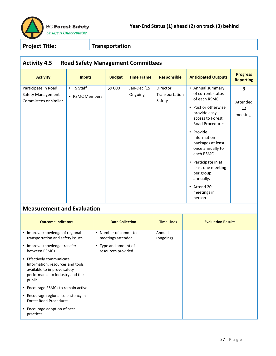

| <b>Activity 4.5 - Road Safety Management Committees</b>           |                              |               |                        |                                       |                                                                                                                                                                                                                                                                                                                                         |                                     |  |  |  |
|-------------------------------------------------------------------|------------------------------|---------------|------------------------|---------------------------------------|-----------------------------------------------------------------------------------------------------------------------------------------------------------------------------------------------------------------------------------------------------------------------------------------------------------------------------------------|-------------------------------------|--|--|--|
| <b>Activity</b>                                                   | <b>Inputs</b>                | <b>Budget</b> | <b>Time Frame</b>      | <b>Responsible</b>                    | <b>Anticipated Outputs</b>                                                                                                                                                                                                                                                                                                              | <b>Progress</b><br><b>Reporting</b> |  |  |  |
| Participate in Road<br>Safety Management<br>Committees or similar | • TS Staff<br>• RSMC Members | \$9 000       | Jan-Dec '15<br>Ongoing | Director,<br>Transportation<br>Safety | • Annual summary<br>of current status<br>of each RSMC.<br>• Post or otherwise<br>provide easy<br>access to Forest<br>Road Procedures.<br>• Provide<br>information<br>packages at least<br>once annually to<br>each RSMC.<br>• Participate in at<br>least one meeting<br>per group<br>annually.<br>• Attend 20<br>meetings in<br>person. | 3<br>Attended<br>12<br>meetings     |  |  |  |

| <b>Outcome Indicators</b>                                                                                                                  | <b>Data Collection</b>                     | <b>Time Lines</b>   | <b>Evaluation Results</b> |
|--------------------------------------------------------------------------------------------------------------------------------------------|--------------------------------------------|---------------------|---------------------------|
| • Improve knowledge of regional<br>transportation and safety issues.                                                                       | • Number of committee<br>meetings attended | Annual<br>(ongoing) |                           |
| • Improve knowledge transfer<br>between RSMCs.                                                                                             | • Type and amount of<br>resources provided |                     |                           |
| • Effectively communicate<br>Information, resources and tools<br>available to improve safety<br>performance to industry and the<br>public. |                                            |                     |                           |
| • Encourage RSMCs to remain active.                                                                                                        |                                            |                     |                           |
| • Encourage regional consistency in<br>Forest Road Procedures.                                                                             |                                            |                     |                           |
| • Encourage adoption of best<br>practices.                                                                                                 |                                            |                     |                           |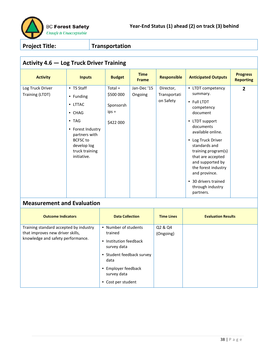

# **Activity 4.6 — Log Truck Driver Training**

| <b>Activity</b>                     | <b>Inputs</b>                                                                                                                                                                  | <b>Budget</b>                                               | <b>Time</b><br><b>Frame</b> | <b>Responsible</b>                     | <b>Anticipated Outputs</b>                                                                                                                                                                                                                                                                                                                                     | <b>Progress</b><br><b>Reporting</b> |
|-------------------------------------|--------------------------------------------------------------------------------------------------------------------------------------------------------------------------------|-------------------------------------------------------------|-----------------------------|----------------------------------------|----------------------------------------------------------------------------------------------------------------------------------------------------------------------------------------------------------------------------------------------------------------------------------------------------------------------------------------------------------------|-------------------------------------|
| Log Truck Driver<br>Training (LTDT) | • TS Staff<br>• Funding<br>• LTTAC<br>$\bullet$ CHAG<br>$\bullet$ TAG<br>• Forest Industry<br>partners with<br><b>BCFSC</b> to<br>develop log<br>truck training<br>initiative. | $Total =$<br>\$500 000<br>Sponsorsh<br>$ips =$<br>\$422 000 | Jan-Dec '15<br>Ongoing      | Director,<br>Transportati<br>on Safety | LTDT competency<br>$\bullet$<br>summary.<br>• Full LTDT<br>competency<br>document<br>LTDT support<br>٠<br>documents<br>available online.<br>Log Truck Driver<br>$\bullet$<br>standards and<br>training program(s)<br>that are accepted<br>and supported by<br>the forest industry<br>and province.<br>30 drivers trained<br>٠<br>through industry<br>partners. | $\overline{2}$                      |

| <b>Outcome Indicators</b>                                                                                       | <b>Data Collection</b>                                                                                                                                                    | <b>Time Lines</b>    | <b>Evaluation Results</b> |
|-----------------------------------------------------------------------------------------------------------------|---------------------------------------------------------------------------------------------------------------------------------------------------------------------------|----------------------|---------------------------|
| Training standard accepted by industry<br>that improves new driver skills,<br>knowledge and safety performance. | • Number of students<br>trained<br>• Institution feedback<br>survey data<br>• Student feedback survey<br>data<br>• Employer feedback<br>survey data<br>• Cost per student | Q2 & Q4<br>(Ongoing) |                           |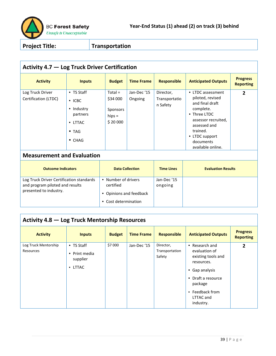

#### **Activity 4.7 — Log Truck Driver Certification**

| <b>Activity</b>                          | <b>Inputs</b>                                                                                              | <b>Budget</b>                                            | <b>Time Frame</b>      | <b>Responsible</b>                     | <b>Anticipated Outputs</b>                                                                                                                                                                   | <b>Progress</b><br><b>Reporting</b> |
|------------------------------------------|------------------------------------------------------------------------------------------------------------|----------------------------------------------------------|------------------------|----------------------------------------|----------------------------------------------------------------------------------------------------------------------------------------------------------------------------------------------|-------------------------------------|
| Log Truck Driver<br>Certification (LTDC) | • TS Staff<br>$\cdot$ ICBC<br>• Industry<br>partners<br>$\bullet$ LTTAC<br>$\bullet$ TAG<br>$\bullet$ CHAG | $Total =$<br>\$34 000<br>Sponsors<br>hips $=$<br>\$20000 | Jan-Dec '15<br>Ongoing | Director,<br>Transportatio<br>n Safety | • LTDC assessment<br>piloted, revised<br>and final draft<br>complete.<br>• Three LTDC<br>assessor recruited,<br>assessed and<br>trained.<br>• LTDC support<br>documents<br>available online. | 2                                   |

#### **Measurement and Evaluation**

| <b>Outcome Indicators</b>                                                                             | <b>Data Collection</b>                                                              | <b>Time Lines</b>      | <b>Evaluation Results</b> |
|-------------------------------------------------------------------------------------------------------|-------------------------------------------------------------------------------------|------------------------|---------------------------|
| Log Truck Driver Certification standards<br>and program piloted and results<br>presented to industry. | • Number of drivers<br>certified<br>• Opinions and feedback<br>• Cost determination | Jan-Dec '15<br>ongoing |                           |

# **Activity 4.8 — Log Truck Mentorship Resources**

| <b>Activity</b>                   | <b>Inputs</b>                                                            | <b>Budget</b> | <b>Time Frame</b> | <b>Responsible</b>                    | <b>Anticipated Outputs</b>                                                                                                                                                                                             | <b>Progress</b><br><b>Reporting</b> |
|-----------------------------------|--------------------------------------------------------------------------|---------------|-------------------|---------------------------------------|------------------------------------------------------------------------------------------------------------------------------------------------------------------------------------------------------------------------|-------------------------------------|
| Log Truck Mentorship<br>Resources | • TS Staff<br>Print media<br>$\bullet$<br>supplier<br>LTTAC<br>$\bullet$ | \$7 000       | Jan-Dec '15       | Director,<br>Transportation<br>Safety | Research and<br>$\bullet$<br>evaluation of<br>existing tools and<br>resources.<br>Gap analysis<br>$\bullet$<br>Draft a resource<br>$\bullet$<br>package<br>Feedback from<br>$\bullet$<br><b>LTTAC and</b><br>industry. | $\overline{2}$                      |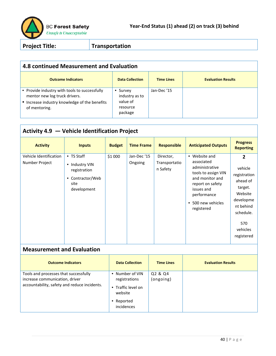

| 4.8 continued Measurement and Evaluation                                                                                                         |                                                                          |                   |                           |  |  |  |
|--------------------------------------------------------------------------------------------------------------------------------------------------|--------------------------------------------------------------------------|-------------------|---------------------------|--|--|--|
| <b>Outcome Indicators</b>                                                                                                                        | <b>Data Collection</b>                                                   | <b>Time Lines</b> | <b>Evaluation Results</b> |  |  |  |
| • Provide industry with tools to successfully<br>mentor new log truck drivers.<br>• Increase industry knowledge of the benefits<br>of mentoring. | Survey<br>$\bullet$<br>industry as to<br>value of<br>resource<br>package | Jan-Dec '15       |                           |  |  |  |

| Activity 4.9 $-$ Vehicle Identification Project |                                                                                         |               |                        |                                        |                                                                                                                                                                                            |                                                                                                                                                   |  |  |
|-------------------------------------------------|-----------------------------------------------------------------------------------------|---------------|------------------------|----------------------------------------|--------------------------------------------------------------------------------------------------------------------------------------------------------------------------------------------|---------------------------------------------------------------------------------------------------------------------------------------------------|--|--|
| <b>Activity</b>                                 | <b>Inputs</b>                                                                           | <b>Budget</b> | <b>Time Frame</b>      | <b>Responsible</b>                     | <b>Anticipated Outputs</b>                                                                                                                                                                 | <b>Progress</b><br><b>Reporting</b>                                                                                                               |  |  |
| Vehicle Identification<br>Number Project        | • TS Staff<br>• Industry VIN<br>registration<br>• Contractor/Web<br>site<br>development | \$1 000       | Jan-Dec '15<br>Ongoing | Director,<br>Transportatio<br>n Safety | Website and<br>$\bullet$<br>associated<br>administrative<br>tools to assign VIN<br>and monitor and<br>report on safety<br>issues and<br>performance<br>500 new vehicles<br>٠<br>registered | $\mathbf{2}$<br>vehicle<br>registration<br>ahead of<br>target.<br>Website<br>developme<br>nt behind<br>schedule.<br>570<br>vehicles<br>registered |  |  |

| <b>Outcome Indicators</b>                                                                                               | <b>Data Collection</b>                                                                      | <b>Time Lines</b>    | <b>Evaluation Results</b> |
|-------------------------------------------------------------------------------------------------------------------------|---------------------------------------------------------------------------------------------|----------------------|---------------------------|
| Tools and processes that successfully<br>increase communication, driver<br>accountability, safety and reduce incidents. | • Number of VIN<br>registrations<br>• Traffic level on<br>website<br>Reported<br>incidences | Q2 & Q4<br>(ongoing) |                           |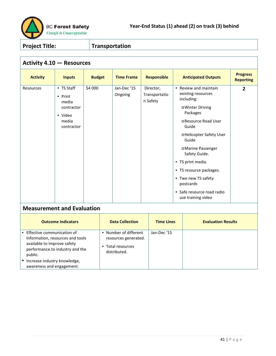

| <b>Activity 4.10 - Resources</b>  |                                                                                |               |                        |                                        |                                                                                                                                                                                                                                                                                                                                                |                                     |  |  |
|-----------------------------------|--------------------------------------------------------------------------------|---------------|------------------------|----------------------------------------|------------------------------------------------------------------------------------------------------------------------------------------------------------------------------------------------------------------------------------------------------------------------------------------------------------------------------------------------|-------------------------------------|--|--|
| <b>Activity</b>                   | <b>Inputs</b>                                                                  | <b>Budget</b> | <b>Time Frame</b>      | <b>Responsible</b>                     | <b>Anticipated Outputs</b>                                                                                                                                                                                                                                                                                                                     | <b>Progress</b><br><b>Reporting</b> |  |  |
| Resources                         | • TS Staff<br>• Print<br>media<br>contractor<br>• Video<br>media<br>contractor | \$4 000       | Jan-Dec '15<br>Ongoing | Director,<br>Transportatio<br>n Safety | • Review and maintain<br>existing resources<br>including:<br>o Winter Driving<br>Packages<br>o Resource Road User<br>Guide<br>o Helicopter Safety User<br>Guide<br>o Marine Passenger<br>Safety Guide.<br>• TS print media.<br>• TS resource packages.<br>• Two new TS safety<br>postcards<br>• Safe resource road radio<br>use training video | $\overline{2}$                      |  |  |
| <b>Measurement and Evaluation</b> |                                                                                |               |                        |                                        |                                                                                                                                                                                                                                                                                                                                                |                                     |  |  |

| <b>Outcome Indicators</b>                                                                                                                     | <b>Data Collection</b>                                                                   | <b>Time Lines</b> | <b>Evaluation Results</b> |
|-----------------------------------------------------------------------------------------------------------------------------------------------|------------------------------------------------------------------------------------------|-------------------|---------------------------|
| • Effective communication of<br>Information, resources and tools<br>available to improve safety<br>performance.to industry and the<br>public. | Number of different<br>٠<br>resources generated.<br>Total resources<br>٠<br>distributed. | Jan-Dec '15       |                           |
| Increase industry knowledge,<br>awareness and engagement.                                                                                     |                                                                                          |                   |                           |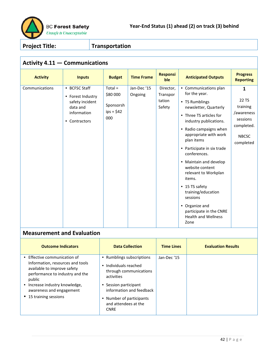

# **Activity 4.11 — Communications**

| <b>Activity</b> | <b>Inputs</b>                                                                                     | <b>Budget</b>                                            | <b>Time Frame</b>     | <b>Responsi</b><br>ble                    | <b>Anticipated Outputs</b>                                                                                                                                                                                                                                                                                                                                                                                                                                                  | <b>Progress</b><br><b>Reporting</b>                                                                    |
|-----------------|---------------------------------------------------------------------------------------------------|----------------------------------------------------------|-----------------------|-------------------------------------------|-----------------------------------------------------------------------------------------------------------------------------------------------------------------------------------------------------------------------------------------------------------------------------------------------------------------------------------------------------------------------------------------------------------------------------------------------------------------------------|--------------------------------------------------------------------------------------------------------|
| Communications  | • BCFSC Staff<br>• Forest Industry<br>safety incident<br>data and<br>information<br>• Contractors | $Total =$<br>\$80 000<br>Sponsorsh<br>$ips = $42$<br>000 | Jan-Dec'15<br>Ongoing | Director,<br>Transpor<br>tation<br>Safety | • Communications plan<br>for the year.<br>• TS Rumblings<br>newsletter, Quarterly<br>• Three TS articles for<br>industry publications.<br>• Radio campaigns when<br>appropriate with work<br>plan items<br>• Participate in six trade<br>conferences.<br>• Maintain and develop<br>website content<br>relevant to Workplan<br>items.<br>• 15 TS safety<br>training/education<br>sessions<br>• Organize and<br>participate in the CNRE<br><b>Health and Wellness</b><br>Zone | $\mathbf{1}$<br>22 TS<br>training<br>/awareness<br>sessions<br>completed.<br><b>NBCSC</b><br>completed |

| <b>Outcome Indicators</b>                                                                                                                                                                                                            | <b>Data Collection</b>                                                                                                                                                                                             | <b>Time Lines</b> | <b>Evaluation Results</b> |
|--------------------------------------------------------------------------------------------------------------------------------------------------------------------------------------------------------------------------------------|--------------------------------------------------------------------------------------------------------------------------------------------------------------------------------------------------------------------|-------------------|---------------------------|
| • Effective communication of<br>Information, resources and tools<br>available to improve safety<br>performance to industry and the<br>public<br>• Increase industry knowledge,<br>awareness and engagement<br>• 15 training sessions | • Rumblings subscriptions<br>• Individuals reached<br>through communications<br>activities<br>• Session participant<br>information and feedback<br>• Number of participants<br>and attendees at the<br><b>CNRE</b> | Jan-Dec '15       |                           |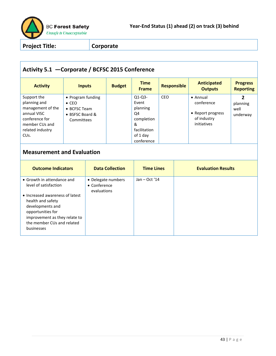

# **Activity 5.1 —Corporate / BCFSC 2015 Conference**

| <b>Activity</b>                                                                                                                              | <b>Inputs</b>                                                                       | <b>Budget</b> | <b>Time</b><br><b>Frame</b>                                                                      | <b>Responsible</b> | <b>Anticipated</b><br><b>Outputs</b>                                              | <b>Progress</b><br><b>Reporting</b> |
|----------------------------------------------------------------------------------------------------------------------------------------------|-------------------------------------------------------------------------------------|---------------|--------------------------------------------------------------------------------------------------|--------------------|-----------------------------------------------------------------------------------|-------------------------------------|
| Support the<br>planning and<br>management of the<br>annual VISC<br>conference for<br>member CUs and<br>related industry<br>CU <sub>s</sub> . | • Program funding<br>$\bullet$ CEO<br>• BCFSC Team<br>• BSFSC Board &<br>Committees |               | $Q1-Q3-$<br>Event<br>planning<br>Q4<br>completion<br>&<br>facilitation<br>of 1 day<br>conference | <b>CEO</b>         | $\bullet$ Annual<br>conference<br>• Report progress<br>of industry<br>initiatives | 2<br>planning<br>well<br>underway   |

| <b>Outcome Indicators</b>                                                                                                                                                  | <b>Data Collection</b>                                    | <b>Time Lines</b> | <b>Evaluation Results</b> |
|----------------------------------------------------------------------------------------------------------------------------------------------------------------------------|-----------------------------------------------------------|-------------------|---------------------------|
| • Growth in attendance and<br>level of satisfaction                                                                                                                        | • Delegate numbers<br>$\bullet$ Conference<br>evaluations | Jan $-$ Oct '14   |                           |
| • Increased awareness of latest<br>health and safety<br>developments and<br>opportunities for<br>improvement as they relate to<br>the member CUs and related<br>businesses |                                                           |                   |                           |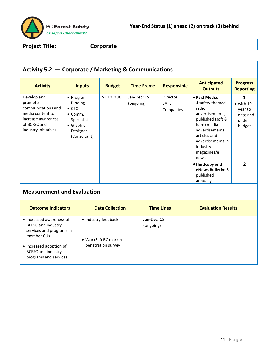

#### **Activity 5.2 — Corporate / Marketing & Communications Activity Inputs Budget Time Frame Responsible Anticipated Outputs Progress Reporting** Develop and promote communications and media content to increase awareness of BCFSC and industry initiatives. • Program funding • CEO • Comm. Specialist • Graphic Designer (Consultant) \$110,000 Jan-Dec '15 (ongoing) Director, SAFE Companies • **Paid Media:** 4 safety themed radio advertisements, published (soft & hard) media advertisements: articles and advertisements in Industry magazines/e news •**Hardcopy and eNews Bulletin:** 6 published annually **1**  $\bullet$  with 10 year to date and under budget **2 Measurement and Evaluation Outcome Indicators Data Collection Time Lines Evaluation Results** • Increased awareness of BCFSC and industry services and programs in member CUs • Increased adoption of BCFSC and industry programs and services • Industry feedback • WorkSafeBC market penetration survey Jan-Dec '15 (ongoing)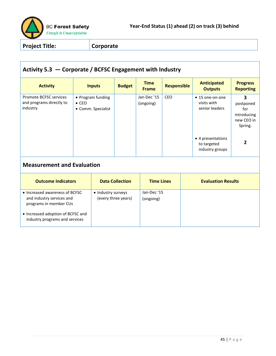

# **Activity 5.3 — Corporate / BCFSC Engagement with Industry**

| <b>Activity</b>                                                 | <b>Inputs</b>                                            | <b>Budget</b> | <b>Time</b><br><b>Frame</b> | <b>Responsible</b> | <b>Anticipated</b><br><b>Outputs</b>                | <b>Progress</b><br><b>Reporting</b>                           |
|-----------------------------------------------------------------|----------------------------------------------------------|---------------|-----------------------------|--------------------|-----------------------------------------------------|---------------------------------------------------------------|
| Promote BCFSC services<br>and programs directly to<br>industry. | • Program funding<br>$\bullet$ CEO<br>• Comm. Specialist |               | Jan-Dec '15<br>(ongoing)    | <b>CEO</b>         | • 15 one-on-one<br>visits with<br>senior leaders    | 3<br>postponed<br>for<br>introducing<br>new CEO in<br>Spring. |
|                                                                 |                                                          |               |                             |                    | • 4 presentations<br>to targeted<br>industry groups | 2                                                             |

| <b>Outcome Indicators</b>                                                                                                                                    | <b>Data Collection</b>                    | <b>Time Lines</b>        | <b>Evaluation Results</b> |
|--------------------------------------------------------------------------------------------------------------------------------------------------------------|-------------------------------------------|--------------------------|---------------------------|
| • Increased awareness of BCFSC<br>and industry services and<br>programs in member CUs<br>• Increased adoption of BCFSC and<br>industry programs and services | • Industry surveys<br>(every three years) | Jan-Dec '15<br>(ongoing) |                           |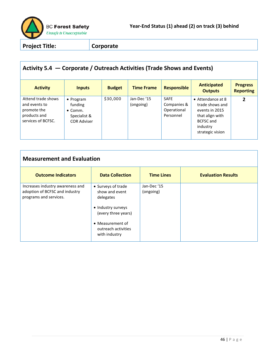

# **Activity 5.4 — Corporate / Outreach Activities (Trade Shows and Events)**

| <b>Activity</b>                                                                          | <b>Inputs</b>                                                                         | <b>Budget</b> | <b>Time Frame</b>        | <b>Responsible</b>                                     | <b>Anticipated</b><br><b>Outputs</b>                                                                                          | <b>Progress</b><br><b>Reporting</b> |
|------------------------------------------------------------------------------------------|---------------------------------------------------------------------------------------|---------------|--------------------------|--------------------------------------------------------|-------------------------------------------------------------------------------------------------------------------------------|-------------------------------------|
| Attend trade shows<br>and events to<br>promote the<br>products and<br>services of BCFSC. | $\bullet$ Program<br>funding<br>$\bullet$ Comm.<br>Specialist &<br><b>COR Adviser</b> | \$30,000      | Jan-Dec '15<br>(ongoing) | <b>SAFE</b><br>Companies &<br>Operational<br>Personnel | • Attendance at 8<br>trade shows and<br>events in 2015<br>that align with<br><b>BCFSC</b> and<br>industry<br>strategic vision | $\overline{2}$                      |

| <b>Measurement and Evaluation</b>                                                            |                                                                                                                                                            |                         |                           |  |  |  |
|----------------------------------------------------------------------------------------------|------------------------------------------------------------------------------------------------------------------------------------------------------------|-------------------------|---------------------------|--|--|--|
| <b>Outcome Indicators</b>                                                                    | <b>Data Collection</b>                                                                                                                                     | <b>Time Lines</b>       | <b>Evaluation Results</b> |  |  |  |
| Increases industry awareness and<br>adoption of BCFSC and industry<br>programs and services. | • Surveys of trade<br>show and event<br>delegates<br>• Industry surveys<br>(every three years)<br>• Measurement of<br>outreach activities<br>with industry | Jan-Dec'15<br>(ongoing) |                           |  |  |  |